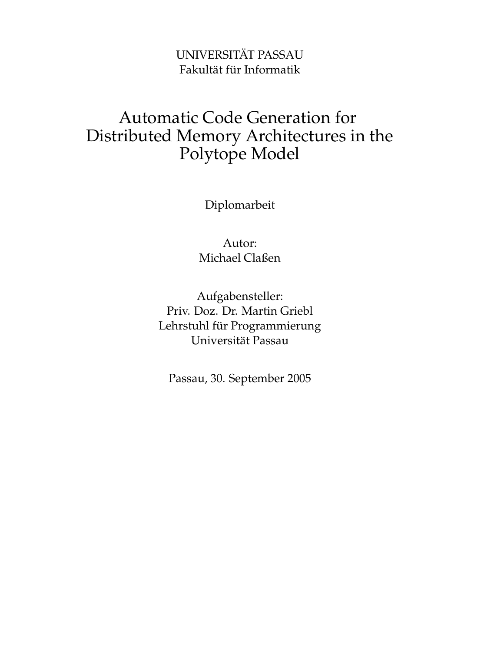## UNIVERSITÄT PASSAU Fakultät für Informatik

## Automatic Code Generation for Distributed Memory Architectures in the Polytope Model

Diplomarbeit

Autor: Michael Claßen

Aufgabensteller: Priv. Doz. Dr. Martin Griebl Lehrstuhl für Programmierung Universität Passau

Passau, 30. September 2005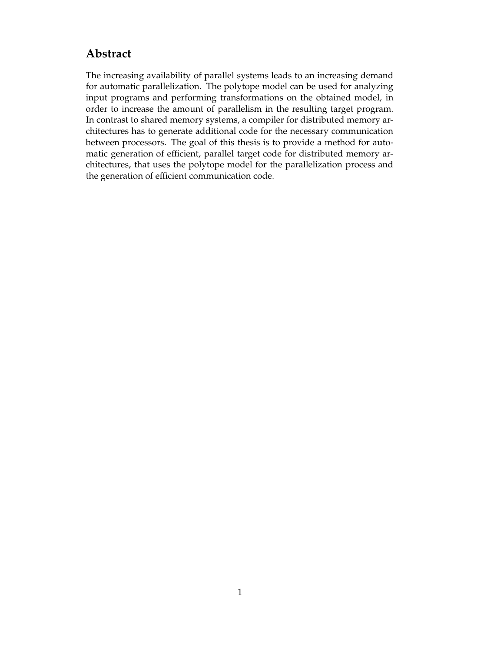## **Abstract**

The increasing availability of parallel systems leads to an increasing demand for automatic parallelization. The polytope model can be used for analyzing input programs and performing transformations on the obtained model, in order to increase the amount of parallelism in the resulting target program. In contrast to shared memory systems, a compiler for distributed memory architectures has to generate additional code for the necessary communication between processors. The goal of this thesis is to provide a method for automatic generation of efficient, parallel target code for distributed memory architectures, that uses the polytope model for the parallelization process and the generation of efficient communication code.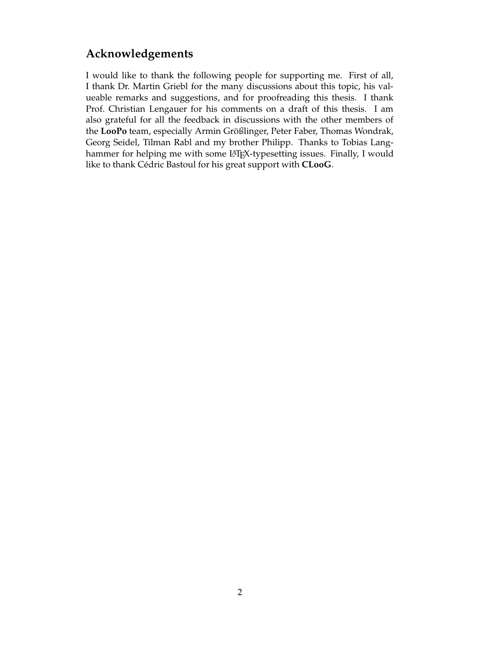## **Acknowledgements**

I would like to thank the following people for supporting me. First of all, I thank Dr. Martin Griebl for the many discussions about this topic, his valueable remarks and suggestions, and for proofreading this thesis. I thank Prof. Christian Lengauer for his comments on a draft of this thesis. I am also grateful for all the feedback in discussions with the other members of the **LooPo** team, especially Armin Größlinger, Peter Faber, Thomas Wondrak, Georg Seidel, Tilman Rabl and my brother Philipp. Thanks to Tobias Langhammer for helping me with some LAT<sub>E</sub>X-typesetting issues. Finally, I would like to thank Cédric Bastoul for his great support with **CLooG**.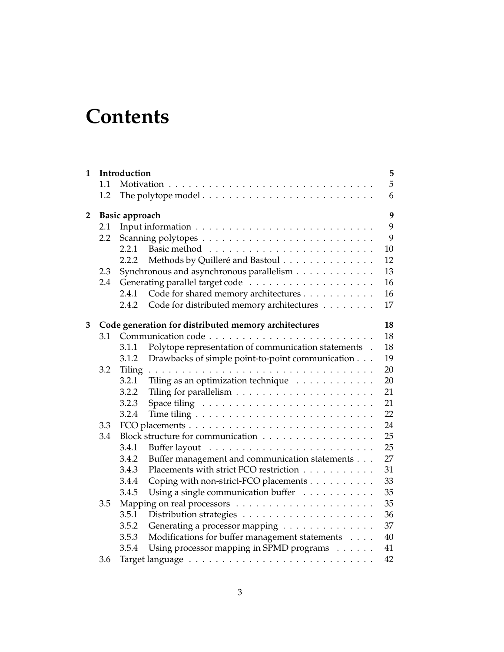# **Contents**

| $\mathbf{1}$   |     | Introduction                                         |                                                       | 5  |  |  |  |
|----------------|-----|------------------------------------------------------|-------------------------------------------------------|----|--|--|--|
|                | 1.1 |                                                      |                                                       | 5  |  |  |  |
|                | 1.2 |                                                      |                                                       | 6  |  |  |  |
| $\overline{2}$ |     | <b>Basic approach</b>                                |                                                       |    |  |  |  |
|                | 2.1 |                                                      |                                                       | 9  |  |  |  |
|                | 2.2 |                                                      |                                                       | 9  |  |  |  |
|                |     | 2.2.1                                                |                                                       | 10 |  |  |  |
|                |     | 2.2.2                                                | Methods by Quilleré and Bastoul                       | 12 |  |  |  |
|                | 2.3 |                                                      | Synchronous and asynchronous parallelism              | 13 |  |  |  |
|                | 2.4 |                                                      |                                                       | 16 |  |  |  |
|                |     | 2.4.1                                                | Code for shared memory architectures                  | 16 |  |  |  |
|                |     | 2.4.2                                                | Code for distributed memory architectures             | 17 |  |  |  |
| 3              |     | Code generation for distributed memory architectures |                                                       |    |  |  |  |
|                | 3.1 |                                                      |                                                       | 18 |  |  |  |
|                |     | 3.1.1                                                | Polytope representation of communication statements . | 18 |  |  |  |
|                |     | 3.1.2                                                | Drawbacks of simple point-to-point communication      | 19 |  |  |  |
|                | 3.2 | Tiling                                               |                                                       | 20 |  |  |  |
|                |     | 3.2.1                                                | Tiling as an optimization technique                   | 20 |  |  |  |
|                |     | 3.2.2                                                |                                                       | 21 |  |  |  |
|                |     | 3.2.3                                                |                                                       | 21 |  |  |  |
|                |     | 3.2.4                                                |                                                       | 22 |  |  |  |
|                | 3.3 |                                                      |                                                       | 24 |  |  |  |
|                | 3.4 |                                                      | Block structure for communication                     | 25 |  |  |  |
|                |     | 3.4.1                                                |                                                       | 25 |  |  |  |
|                |     | 3.4.2                                                | Buffer management and communication statements        | 27 |  |  |  |
|                |     | 3.4.3                                                | Placements with strict FCO restriction                | 31 |  |  |  |
|                |     | 3.4.4                                                | Coping with non-strict-FCO placements                 | 33 |  |  |  |
|                |     | 3.4.5                                                | Using a single communication buffer                   | 35 |  |  |  |
|                | 3.5 |                                                      |                                                       | 35 |  |  |  |
|                |     | 3.5.1                                                |                                                       | 36 |  |  |  |
|                |     | 3.5.2                                                | Generating a processor mapping                        | 37 |  |  |  |
|                |     | 3.5.3                                                | Modifications for buffer management statements        | 40 |  |  |  |
|                |     | 3.5.4                                                | Using processor mapping in SPMD programs              | 41 |  |  |  |
|                | 3.6 |                                                      |                                                       | 42 |  |  |  |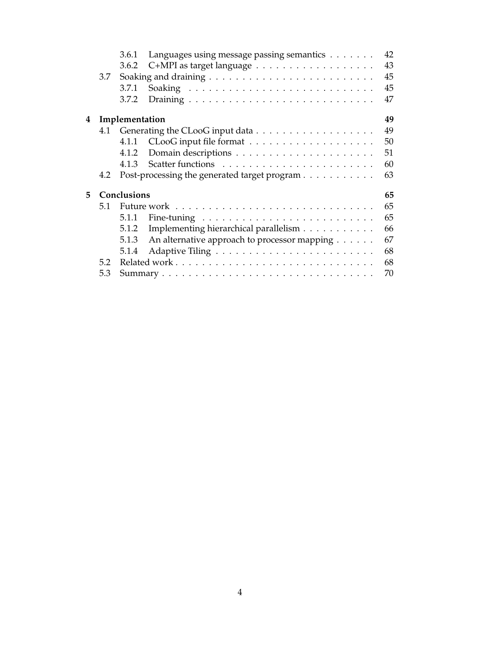|    |     | 3.6.1          | Languages using message passing semantics    | 42 |  |  |  |  |
|----|-----|----------------|----------------------------------------------|----|--|--|--|--|
|    |     | 3.6.2          |                                              | 43 |  |  |  |  |
|    | 3.7 |                |                                              | 45 |  |  |  |  |
|    |     | 3.7.1          |                                              | 45 |  |  |  |  |
|    |     | 3.7.2          |                                              | 47 |  |  |  |  |
| 4  |     | Implementation |                                              |    |  |  |  |  |
|    | 4.1 |                |                                              | 49 |  |  |  |  |
|    |     | 4.1.1          |                                              | 50 |  |  |  |  |
|    |     | 4.1.2          |                                              | 51 |  |  |  |  |
|    |     | 4.1.3          |                                              | 60 |  |  |  |  |
|    | 4.2 |                | Post-processing the generated target program | 63 |  |  |  |  |
| 5. |     | Conclusions    |                                              | 65 |  |  |  |  |
|    | 5.1 |                |                                              | 65 |  |  |  |  |
|    |     | 5.1.1          |                                              | 65 |  |  |  |  |
|    |     | 5.1.2          | Implementing hierarchical parallelism        | 66 |  |  |  |  |
|    |     | 5.1.3          | An alternative approach to processor mapping | 67 |  |  |  |  |
|    |     | 5.1.4          |                                              | 68 |  |  |  |  |
|    | 5.2 |                |                                              | 68 |  |  |  |  |
|    | 5.3 |                |                                              | 70 |  |  |  |  |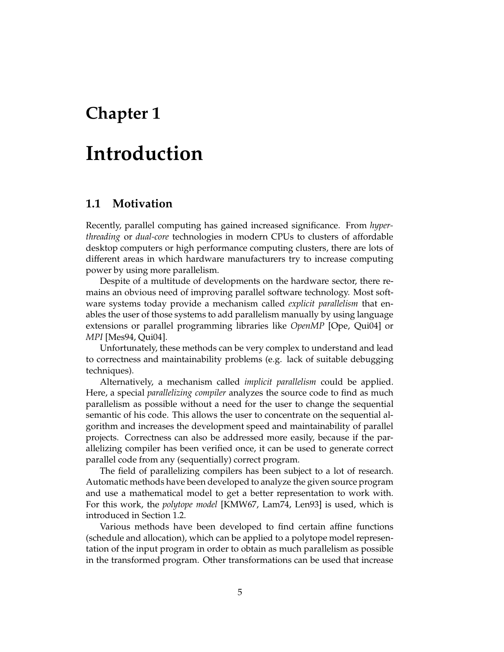## **Chapter 1**

## **Introduction**

### **1.1 Motivation**

Recently, parallel computing has gained increased significance. From *hyperthreading* or *dual-core* technologies in modern CPUs to clusters of affordable desktop computers or high performance computing clusters, there are lots of different areas in which hardware manufacturers try to increase computing power by using more parallelism.

Despite of a multitude of developments on the hardware sector, there remains an obvious need of improving parallel software technology. Most software systems today provide a mechanism called *explicit parallelism* that enables the user of those systems to add parallelism manually by using language extensions or parallel programming libraries like *OpenMP* [Ope, Qui04] or *MPI* [Mes94, Qui04].

Unfortunately, these methods can be very complex to understand and lead to correctness and maintainability problems (e.g. lack of suitable debugging techniques).

Alternatively, a mechanism called *implicit parallelism* could be applied. Here, a special *parallelizing compiler* analyzes the source code to find as much parallelism as possible without a need for the user to change the sequential semantic of his code. This allows the user to concentrate on the sequential algorithm and increases the development speed and maintainability of parallel projects. Correctness can also be addressed more easily, because if the parallelizing compiler has been verified once, it can be used to generate correct parallel code from any (sequentially) correct program.

The field of parallelizing compilers has been subject to a lot of research. Automatic methods have been developed to analyze the given source program and use a mathematical model to get a better representation to work with. For this work, the *polytope model* [KMW67, Lam74, Len93] is used, which is introduced in Section 1.2.

Various methods have been developed to find certain affine functions (schedule and allocation), which can be applied to a polytope model representation of the input program in order to obtain as much parallelism as possible in the transformed program. Other transformations can be used that increase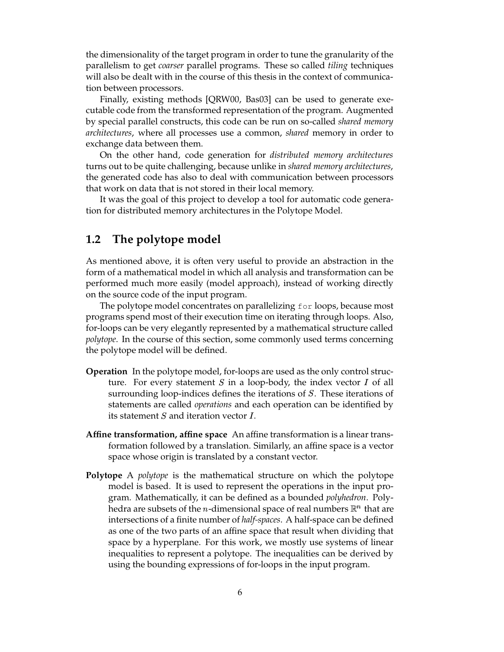the dimensionality of the target program in order to tune the granularity of the parallelism to get *coarser* parallel programs. These so called *tiling* techniques will also be dealt with in the course of this thesis in the context of communication between processors.

Finally, existing methods [QRW00, Bas03] can be used to generate executable code from the transformed representation of the program. Augmented by special parallel constructs, this code can be run on so-called *shared memory architectures*, where all processes use a common, *shared* memory in order to exchange data between them.

On the other hand, code generation for *distributed memory architectures* turns out to be quite challenging, because unlike in *shared memory architectures*, the generated code has also to deal with communication between processors that work on data that is not stored in their local memory.

It was the goal of this project to develop a tool for automatic code generation for distributed memory architectures in the Polytope Model.

## **1.2 The polytope model**

As mentioned above, it is often very useful to provide an abstraction in the form of a mathematical model in which all analysis and transformation can be performed much more easily (model approach), instead of working directly on the source code of the input program.

The polytope model concentrates on parallelizing for loops, because most programs spend most of their execution time on iterating through loops. Also, for-loops can be very elegantly represented by a mathematical structure called *polytope*. In the course of this section, some commonly used terms concerning the polytope model will be defined.

- **Operation** In the polytope model, for-loops are used as the only control structure. For every statement  $S$  in a loop-body, the index vector  $I$  of all surrounding loop-indices defines the iterations of  $S$ . These iterations of statements are called *operations* and each operation can be identified by its statement  $S$  and iteration vector  $I$ .
- **Affine transformation, affine space** An affine transformation is a linear transformation followed by a translation. Similarly, an affine space is a vector space whose origin is translated by a constant vector.
- **Polytope** A *polytope* is the mathematical structure on which the polytope model is based. It is used to represent the operations in the input program. Mathematically, it can be defined as a bounded *polyhedron*. Polyhedra are subsets of the *n*-dimensional space of real numbers  $\mathbb{R}^n$  that are intersections of a finite number of *half-spaces*. A half-space can be defined as one of the two parts of an affine space that result when dividing that space by a hyperplane. For this work, we mostly use systems of linear inequalities to represent a polytope. The inequalities can be derived by using the bounding expressions of for-loops in the input program.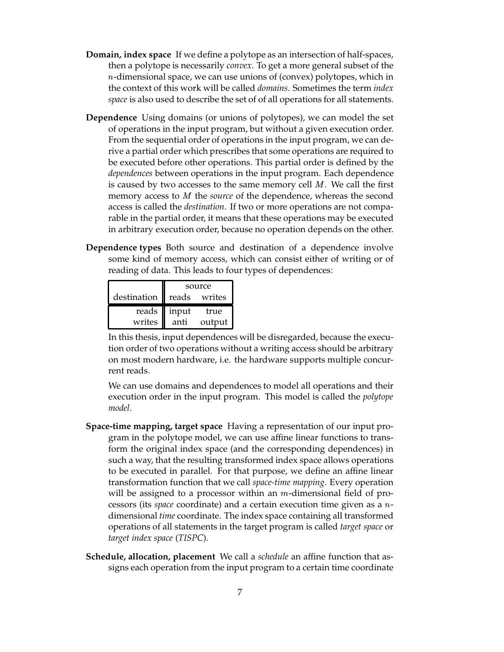- **Domain, index space** If we define a polytope as an intersection of half-spaces, then a polytope is necessarily *convex*. To get a more general subset of the --dimensional space, we can use unions of (convex) polytopes, which in the context of this work will be called *domains*. Sometimes the term *index space* is also used to describe the set of of all operations for all statements.
- **Dependence** Using domains (or unions of polytopes), we can model the set of operations in the input program, but without a given execution order. From the sequential order of operations in the input program, we can derive a partial order which prescribes that some operations are required to be executed before other operations. This partial order is defined by the *dependences* between operations in the input program. Each dependence is caused by two accesses to the same memory cell  $M$ . We call the first memory access to *M* the *source* of the dependence, whereas the second access is called the *destination*. If two or more operations are not comparable in the partial order, it means that these operations may be executed in arbitrary execution order, because no operation depends on the other.
- **Dependence types** Both source and destination of a dependence involve some kind of memory access, which can consist either of writing or of reading of data. This leads to four types of dependences:

|                   | source        |        |  |
|-------------------|---------------|--------|--|
| destination reads |               | writes |  |
|                   | reads   input | true   |  |
| writes            | anti          | output |  |

In this thesis, input dependences will be disregarded, because the execution order of two operations without a writing access should be arbitrary on most modern hardware, i.e. the hardware supports multiple concurrent reads.

We can use domains and dependences to model all operations and their execution order in the input program. This model is called the *polytope model*.

- **Space-time mapping, target space** Having a representation of our input program in the polytope model, we can use affine linear functions to transform the original index space (and the corresponding dependences) in such a way, that the resulting transformed index space allows operations to be executed in parallel. For that purpose, we define an affine linear transformation function that we call *space-time mapping*. Every operation will be assigned to a processor within an  $m$ -dimensional field of processors (its *space* coordinate) and a certain execution time given as a ndimensional *time* coordinate. The index space containing all transformed operations of all statements in the target program is called *target space* or *target index space* (*TISPC*).
- **Schedule, allocation, placement** We call a *schedule* an affine function that assigns each operation from the input program to a certain time coordinate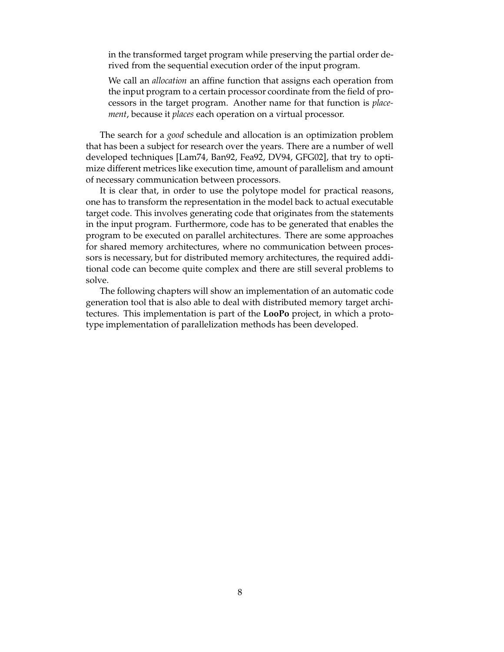in the transformed target program while preserving the partial order derived from the sequential execution order of the input program.

We call an *allocation* an affine function that assigns each operation from the input program to a certain processor coordinate from the field of processors in the target program. Another name for that function is *placement*, because it *places* each operation on a virtual processor.

The search for a *good* schedule and allocation is an optimization problem that has been a subject for research over the years. There are a number of well developed techniques [Lam74, Ban92, Fea92, DV94, GFG02], that try to optimize different metrices like execution time, amount of parallelism and amount of necessary communication between processors.

It is clear that, in order to use the polytope model for practical reasons, one has to transform the representation in the model back to actual executable target code. This involves generating code that originates from the statements in the input program. Furthermore, code has to be generated that enables the program to be executed on parallel architectures. There are some approaches for shared memory architectures, where no communication between processors is necessary, but for distributed memory architectures, the required additional code can become quite complex and there are still several problems to solve.

The following chapters will show an implementation of an automatic code generation tool that is also able to deal with distributed memory target architectures. This implementation is part of the **LooPo** project, in which a prototype implementation of parallelization methods has been developed.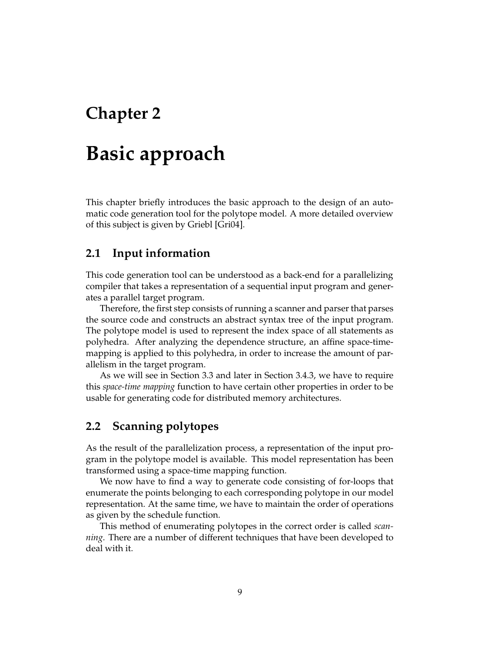## **Chapter 2**

## **Basic approach**

This chapter briefly introduces the basic approach to the design of an automatic code generation tool for the polytope model. A more detailed overview of this subject is given by Griebl [Gri04].

## **2.1 Input information**

This code generation tool can be understood as a back-end for a parallelizing compiler that takes a representation of a sequential input program and generates a parallel target program.

Therefore, the first step consists of running a scanner and parser that parses the source code and constructs an abstract syntax tree of the input program. The polytope model is used to represent the index space of all statements as polyhedra. After analyzing the dependence structure, an affine space-timemapping is applied to this polyhedra, in order to increase the amount of parallelism in the target program.

As we will see in Section 3.3 and later in Section 3.4.3, we have to require this *space-time mapping* function to have certain other properties in order to be usable for generating code for distributed memory architectures.

## **2.2 Scanning polytopes**

As the result of the parallelization process, a representation of the input program in the polytope model is available. This model representation has been transformed using a space-time mapping function.

We now have to find a way to generate code consisting of for-loops that enumerate the points belonging to each corresponding polytope in our model representation. At the same time, we have to maintain the order of operations as given by the schedule function.

This method of enumerating polytopes in the correct order is called *scanning*. There are a number of different techniques that have been developed to deal with it.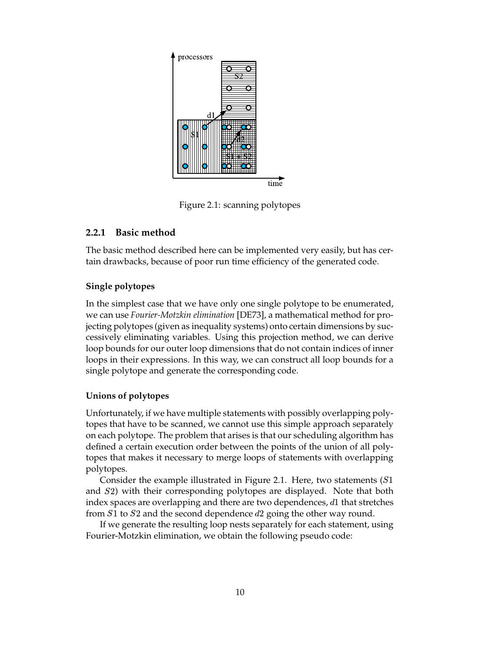

Figure 2.1: scanning polytopes

### **2.2.1 Basic method**

The basic method described here can be implemented very easily, but has certain drawbacks, because of poor run time efficiency of the generated code.

### **Single polytopes**

In the simplest case that we have only one single polytope to be enumerated, we can use *Fourier-Motzkin elimination* [DE73], a mathematical method for projecting polytopes (given as inequality systems) onto certain dimensions by successively eliminating variables. Using this projection method, we can derive loop bounds for our outer loop dimensions that do not contain indices of inner loops in their expressions. In this way, we can construct all loop bounds for a single polytope and generate the corresponding code.

## **Unions of polytopes**

Unfortunately, if we have multiple statements with possibly overlapping polytopes that have to be scanned, we cannot use this simple approach separately on each polytope. The problem that arises is that our scheduling algorithm has defined a certain execution order between the points of the union of all polytopes that makes it necessary to merge loops of statements with overlapping polytopes.

Consider the example illustrated in Figure 2.1. Here, two statements  $(S1)$ and S2) with their corresponding polytopes are displayed. Note that both index spaces are overlapping and there are two dependences,  $d1$  that stretches from  $S1$  to  $S2$  and the second dependence  $d2$  going the other way round.

If we generate the resulting loop nests separately for each statement, using Fourier-Motzkin elimination, we obtain the following pseudo code: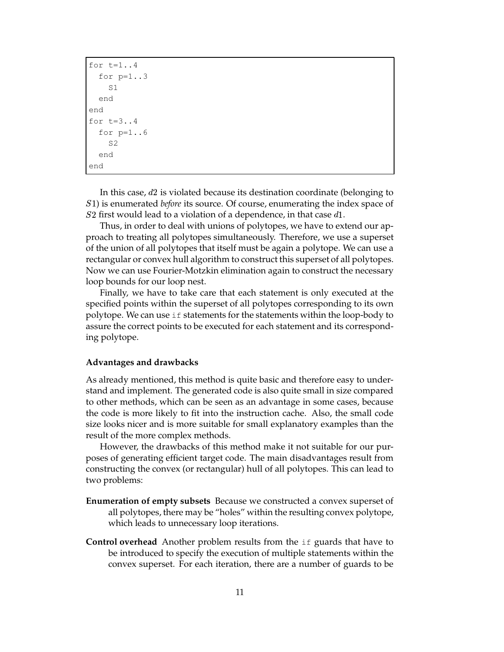```
for t=1...4for p=1..3
    S1
 end
end
for t=3.14for p=1..6S2
  end
end
```
In this case,  $d2$  is violated because its destination coordinate (belonging to ) is enumerated *before* its source. Of course, enumerating the index space of  $S2$  first would lead to a violation of a dependence, in that case  $d1$ .

Thus, in order to deal with unions of polytopes, we have to extend our approach to treating all polytopes simultaneously. Therefore, we use a superset of the union of all polytopes that itself must be again a polytope. We can use a rectangular or convex hull algorithm to construct this superset of all polytopes. Now we can use Fourier-Motzkin elimination again to construct the necessary loop bounds for our loop nest.

Finally, we have to take care that each statement is only executed at the specified points within the superset of all polytopes corresponding to its own polytope. We can use if statements for the statements within the loop-body to assure the correct points to be executed for each statement and its corresponding polytope.

#### **Advantages and drawbacks**

As already mentioned, this method is quite basic and therefore easy to understand and implement. The generated code is also quite small in size compared to other methods, which can be seen as an advantage in some cases, because the code is more likely to fit into the instruction cache. Also, the small code size looks nicer and is more suitable for small explanatory examples than the result of the more complex methods.

However, the drawbacks of this method make it not suitable for our purposes of generating efficient target code. The main disadvantages result from constructing the convex (or rectangular) hull of all polytopes. This can lead to two problems:

- **Enumeration of empty subsets** Because we constructed a convex superset of all polytopes, there may be "holes" within the resulting convex polytope, which leads to unnecessary loop iterations.
- **Control overhead** Another problem results from the if guards that have to be introduced to specify the execution of multiple statements within the convex superset. For each iteration, there are a number of guards to be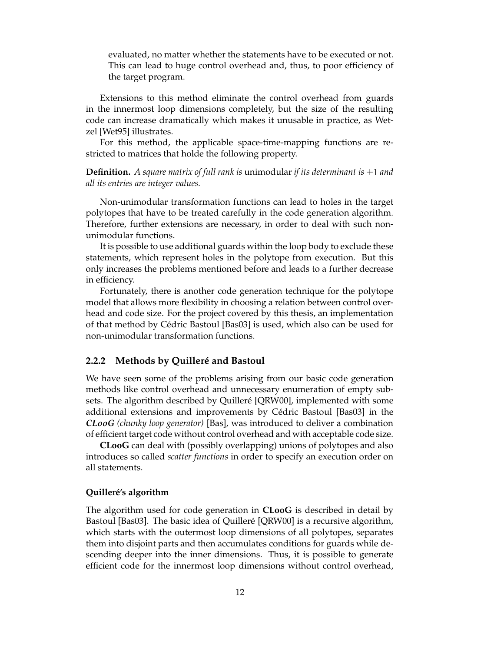evaluated, no matter whether the statements have to be executed or not. This can lead to huge control overhead and, thus, to poor efficiency of the target program.

Extensions to this method eliminate the control overhead from guards in the innermost loop dimensions completely, but the size of the resulting code can increase dramatically which makes it unusable in practice, as Wetzel [Wet95] illustrates.

For this method, the applicable space-time-mapping functions are restricted to matrices that holde the following property.

**Definition.** A square matrix of full rank is unimodular if its determinant is  $\pm 1$  and *all its entries are integer values.*

Non-unimodular transformation functions can lead to holes in the target polytopes that have to be treated carefully in the code generation algorithm. Therefore, further extensions are necessary, in order to deal with such nonunimodular functions.

It is possible to use additional guards within the loop body to exclude these statements, which represent holes in the polytope from execution. But this only increases the problems mentioned before and leads to a further decrease in efficiency.

Fortunately, there is another code generation technique for the polytope model that allows more flexibility in choosing a relation between control overhead and code size. For the project covered by this thesis, an implementation of that method by Cédric Bastoul [Bas03] is used, which also can be used for non-unimodular transformation functions.

#### **2.2.2 Methods by Quilleré and Bastoul**

We have seen some of the problems arising from our basic code generation methods like control overhead and unnecessary enumeration of empty subsets. The algorithm described by Quilleré [QRW00], implemented with some additional extensions and improvements by Cédric Bastoul [Bas03] in the *CLooG (chunky loop generator)* [Bas], was introduced to deliver a combination of efficient target code without control overhead and with acceptable code size.

**CLooG** can deal with (possibly overlapping) unions of polytopes and also introduces so called *scatter functions* in order to specify an execution order on all statements.

#### **Quilleré's algorithm**

The algorithm used for code generation in **CLooG** is described in detail by Bastoul [Bas03]. The basic idea of Quilleré [QRW00] is a recursive algorithm, which starts with the outermost loop dimensions of all polytopes, separates them into disjoint parts and then accumulates conditions for guards while descending deeper into the inner dimensions. Thus, it is possible to generate efficient code for the innermost loop dimensions without control overhead,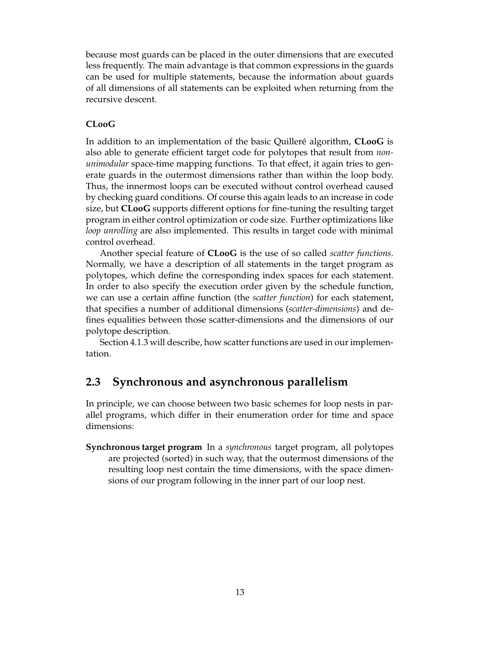because most guards can be placed in the outer dimensions that are executed less frequently. The main advantage is that common expressions in the guards can be used for multiple statements, because the information about guards of all dimensions of all statements can be exploited when returning from the recursive descent.

### **CLooG**

In addition to an implementation of the basic Quilleré algorithm, **CLooG** is also able to generate efficient target code for polytopes that result from *nonunimodular* space-time mapping functions. To that effect, it again tries to generate guards in the outermost dimensions rather than within the loop body. Thus, the innermost loops can be executed without control overhead caused by checking guard conditions. Of course this again leads to an increase in code size, but **CLooG** supports different options for fine-tuning the resulting target program in either control optimization or code size. Further optimizations like *loop unrolling* are also implemented. This results in target code with minimal control overhead.

Another special feature of **CLooG** is the use of so called *scatter functions*. Normally, we have a description of all statements in the target program as polytopes, which define the corresponding index spaces for each statement. In order to also specify the execution order given by the schedule function, we can use a certain affine function (the *scatter function*) for each statement, that specifies a number of additional dimensions (*scatter-dimensions*) and defines equalities between those scatter-dimensions and the dimensions of our polytope description.

Section 4.1.3 will describe, how scatter functions are used in our implementation.

## **2.3 Synchronous and asynchronous parallelism**

In principle, we can choose between two basic schemes for loop nests in parallel programs, which differ in their enumeration order for time and space dimensions:

**Synchronous target program** In a *synchronous* target program, all polytopes are projected (sorted) in such way, that the outermost dimensions of the resulting loop nest contain the time dimensions, with the space dimensions of our program following in the inner part of our loop nest.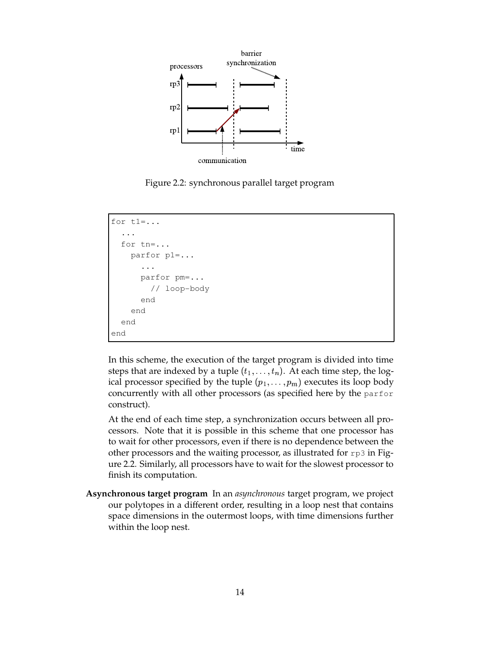

Figure 2.2: synchronous parallel target program

```
for t1=...
  ...
  for tn=...
    parfor p1=...
      ...
      parfor pm=...
        // loop-body
      end
    end
  end
end
```
In this scheme, the execution of the target program is divided into time steps that are indexed by a tuple  $(t_1, \ldots, t_n)$ . At each time step, the logical processor specified by the tuple  $(p_1, \ldots, p_m)$  executes its loop body concurrently with all other processors (as specified here by the parfor construct).

At the end of each time step, a synchronization occurs between all processors. Note that it is possible in this scheme that one processor has to wait for other processors, even if there is no dependence between the other processors and the waiting processor, as illustrated for  $rp3$  in Figure 2.2. Similarly, all processors have to wait for the slowest processor to finish its computation.

**Asynchronous target program** In an *asynchronous* target program, we project our polytopes in a different order, resulting in a loop nest that contains space dimensions in the outermost loops, with time dimensions further within the loop nest.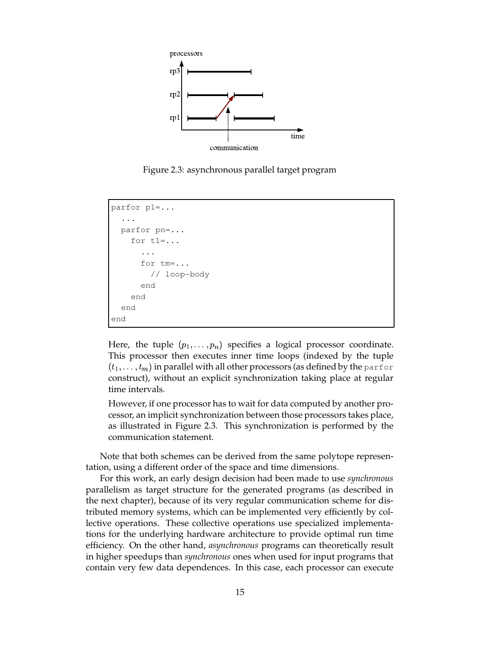

Figure 2.3: asynchronous parallel target program

```
parfor p1=...
  ...
  parfor pn=...
    for t1=...
      ...
      for tm=...
         // loop-body
      end
    end
  end
end
```
Here, the tuple  $(p_1, \ldots, p_n)$  specifies a logical processor coordinate. This processor then executes inner time loops (indexed by the tuple  $(t_1,\ldots,t_m)$  in parallel with all other processors (as defined by the <code>parfor</code> construct), without an explicit synchronization taking place at regular time intervals.

However, if one processor has to wait for data computed by another processor, an implicit synchronization between those processors takes place, as illustrated in Figure 2.3. This synchronization is performed by the communication statement.

Note that both schemes can be derived from the same polytope representation, using a different order of the space and time dimensions.

For this work, an early design decision had been made to use *synchronous* parallelism as target structure for the generated programs (as described in the next chapter), because of its very regular communication scheme for distributed memory systems, which can be implemented very efficiently by collective operations. These collective operations use specialized implementations for the underlying hardware architecture to provide optimal run time efficiency. On the other hand, *asynchronous* programs can theoretically result in higher speedups than *synchronous* ones when used for input programs that contain very few data dependences. In this case, each processor can execute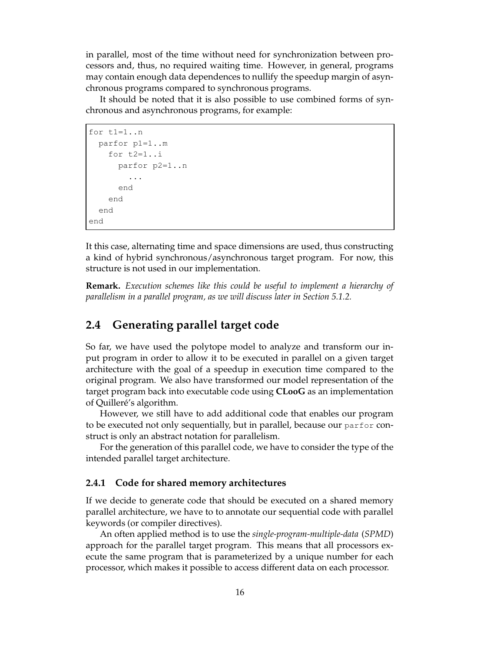in parallel, most of the time without need for synchronization between processors and, thus, no required waiting time. However, in general, programs may contain enough data dependences to nullify the speedup margin of asynchronous programs compared to synchronous programs.

It should be noted that it is also possible to use combined forms of synchronous and asynchronous programs, for example:

```
for t1=1..n
  parfor p1=1..m
    for t2=1..i
      parfor p2=1..n
        ...
      end
    end
  end
end
```
It this case, alternating time and space dimensions are used, thus constructing a kind of hybrid synchronous/asynchronous target program. For now, this structure is not used in our implementation.

**Remark.** *Execution schemes like this could be useful to implement a hierarchy of parallelism in a parallel program, as we will discuss later in Section 5.1.2.*

## **2.4 Generating parallel target code**

So far, we have used the polytope model to analyze and transform our input program in order to allow it to be executed in parallel on a given target architecture with the goal of a speedup in execution time compared to the original program. We also have transformed our model representation of the target program back into executable code using **CLooG** as an implementation of Quilleré's algorithm.

However, we still have to add additional code that enables our program to be executed not only sequentially, but in parallel, because our parfor construct is only an abstract notation for parallelism.

For the generation of this parallel code, we have to consider the type of the intended parallel target architecture.

### **2.4.1 Code for shared memory architectures**

If we decide to generate code that should be executed on a shared memory parallel architecture, we have to to annotate our sequential code with parallel keywords (or compiler directives).

An often applied method is to use the *single-program-multiple-data* (*SPMD*) approach for the parallel target program. This means that all processors execute the same program that is parameterized by a unique number for each processor, which makes it possible to access different data on each processor.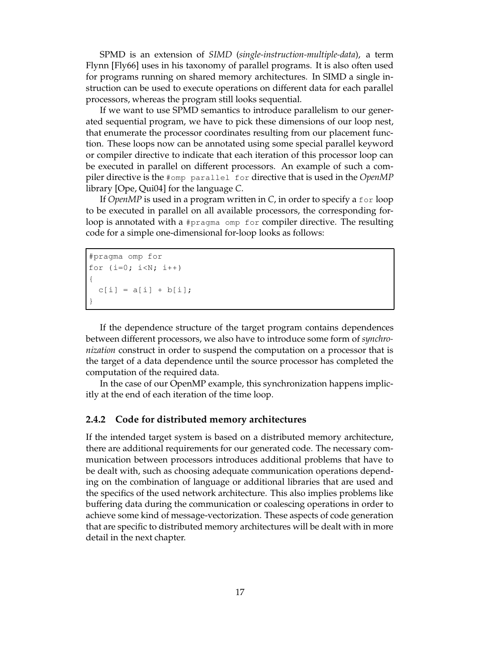SPMD is an extension of *SIMD* (*single-instruction-multiple-data*), a term Flynn [Fly66] uses in his taxonomy of parallel programs. It is also often used for programs running on shared memory architectures. In SIMD a single instruction can be used to execute operations on different data for each parallel processors, whereas the program still looks sequential.

If we want to use SPMD semantics to introduce parallelism to our generated sequential program, we have to pick these dimensions of our loop nest, that enumerate the processor coordinates resulting from our placement function. These loops now can be annotated using some special parallel keyword or compiler directive to indicate that each iteration of this processor loop can be executed in parallel on different processors. An example of such a compiler directive is the #omp parallel for directive that is used in the *OpenMP* library [Ope, Qui04] for the language *C*.

If *OpenMP* is used in a program written in *C*, in order to specify a for loop to be executed in parallel on all available processors, the corresponding forloop is annotated with a #pragma omp for compiler directive. The resulting code for a simple one-dimensional for-loop looks as follows:

```
#pragma omp for
for (i=0; i< N; i++){
  c[i] = a[i] + b[i];}
```
If the dependence structure of the target program contains dependences between different processors, we also have to introduce some form of *synchronization* construct in order to suspend the computation on a processor that is the target of a data dependence until the source processor has completed the computation of the required data.

In the case of our OpenMP example, this synchronization happens implicitly at the end of each iteration of the time loop.

### **2.4.2 Code for distributed memory architectures**

If the intended target system is based on a distributed memory architecture, there are additional requirements for our generated code. The necessary communication between processors introduces additional problems that have to be dealt with, such as choosing adequate communication operations depending on the combination of language or additional libraries that are used and the specifics of the used network architecture. This also implies problems like buffering data during the communication or coalescing operations in order to achieve some kind of message-vectorization. These aspects of code generation that are specific to distributed memory architectures will be dealt with in more detail in the next chapter.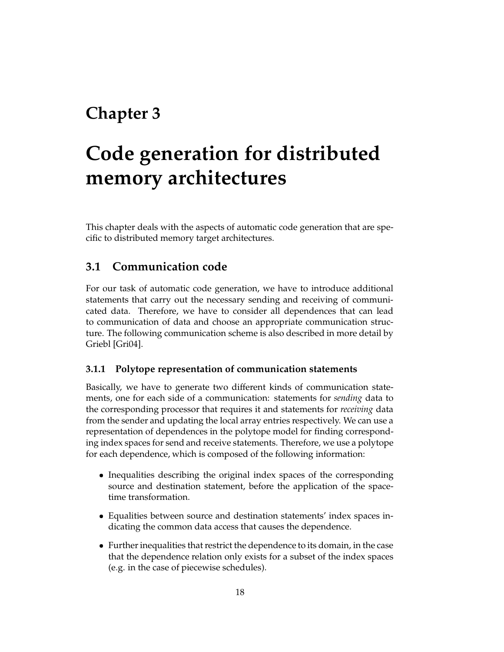## **Chapter 3**

# **Code generation for distributed memory architectures**

This chapter deals with the aspects of automatic code generation that are specific to distributed memory target architectures.

## **3.1 Communication code**

For our task of automatic code generation, we have to introduce additional statements that carry out the necessary sending and receiving of communicated data. Therefore, we have to consider all dependences that can lead to communication of data and choose an appropriate communication structure. The following communication scheme is also described in more detail by Griebl [Gri04].

### **3.1.1 Polytope representation of communication statements**

Basically, we have to generate two different kinds of communication statements, one for each side of a communication: statements for *sending* data to the corresponding processor that requires it and statements for *receiving* data from the sender and updating the local array entries respectively. We can use a representation of dependences in the polytope model for finding corresponding index spaces for send and receive statements. Therefore, we use a polytope for each dependence, which is composed of the following information:

- Inequalities describing the original index spaces of the corresponding source and destination statement, before the application of the spacetime transformation.
- Equalities between source and destination statements' index spaces indicating the common data access that causes the dependence.
- Further inequalities that restrict the dependence to its domain, in the case that the dependence relation only exists for a subset of the index spaces (e.g. in the case of piecewise schedules).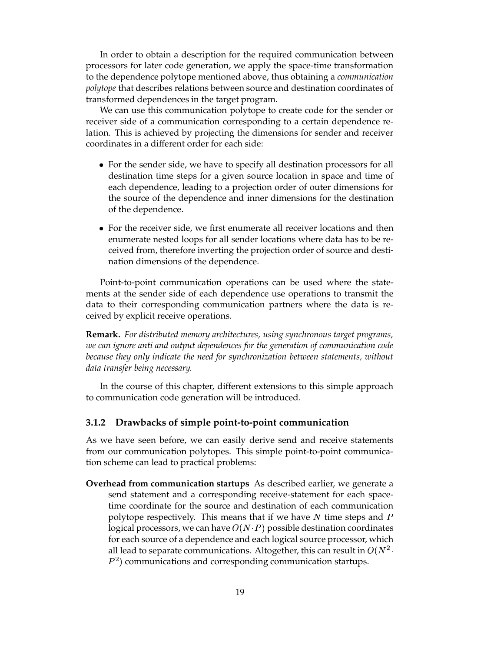In order to obtain a description for the required communication between processors for later code generation, we apply the space-time transformation to the dependence polytope mentioned above, thus obtaining a *communication polytope* that describes relations between source and destination coordinates of transformed dependences in the target program.

We can use this communication polytope to create code for the sender or receiver side of a communication corresponding to a certain dependence relation. This is achieved by projecting the dimensions for sender and receiver coordinates in a different order for each side:

- For the sender side, we have to specify all destination processors for all destination time steps for a given source location in space and time of each dependence, leading to a projection order of outer dimensions for the source of the dependence and inner dimensions for the destination of the dependence.
- For the receiver side, we first enumerate all receiver locations and then enumerate nested loops for all sender locations where data has to be received from, therefore inverting the projection order of source and destination dimensions of the dependence.

Point-to-point communication operations can be used where the statements at the sender side of each dependence use operations to transmit the data to their corresponding communication partners where the data is received by explicit receive operations.

**Remark.** *For distributed memory architectures, using synchronous target programs, we can ignore anti and output dependences for the generation of communication code because they only indicate the need for synchronization between statements, without data transfer being necessary.*

In the course of this chapter, different extensions to this simple approach to communication code generation will be introduced.

### **3.1.2 Drawbacks of simple point-to-point communication**

As we have seen before, we can easily derive send and receive statements from our communication polytopes. This simple point-to-point communication scheme can lead to practical problems:

**Overhead from communication startups** As described earlier, we generate a send statement and a corresponding receive-statement for each spacetime coordinate for the source and destination of each communication polytope respectively. This means that if we have  $N$  time steps and  $P$ logical processors, we can have  $O(N \cdot P)$  possible destination coordinates for each source of a dependence and each logical source processor, which all lead to separate communications. Altogether, this can result in  $O(N^2 \cdot)$ & communications and corresponding communication startups.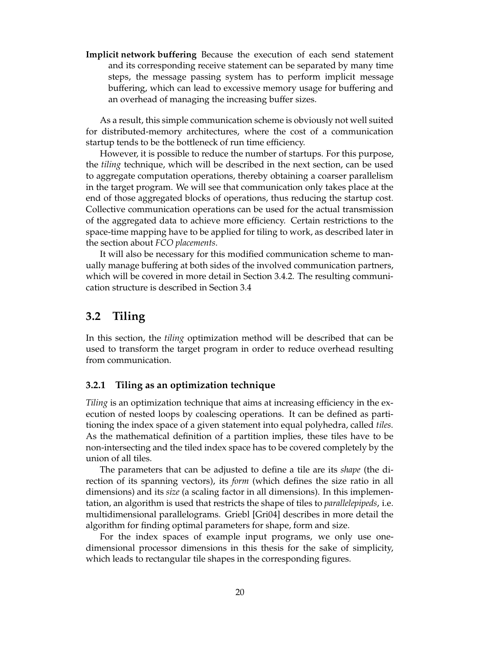**Implicit network buffering** Because the execution of each send statement and its corresponding receive statement can be separated by many time steps, the message passing system has to perform implicit message buffering, which can lead to excessive memory usage for buffering and an overhead of managing the increasing buffer sizes.

As a result, this simple communication scheme is obviously not well suited for distributed-memory architectures, where the cost of a communication startup tends to be the bottleneck of run time efficiency.

However, it is possible to reduce the number of startups. For this purpose, the *tiling* technique, which will be described in the next section, can be used to aggregate computation operations, thereby obtaining a coarser parallelism in the target program. We will see that communication only takes place at the end of those aggregated blocks of operations, thus reducing the startup cost. Collective communication operations can be used for the actual transmission of the aggregated data to achieve more efficiency. Certain restrictions to the space-time mapping have to be applied for tiling to work, as described later in the section about *FCO placements*.

It will also be necessary for this modified communication scheme to manually manage buffering at both sides of the involved communication partners, which will be covered in more detail in Section 3.4.2. The resulting communication structure is described in Section 3.4

## **3.2 Tiling**

In this section, the *tiling* optimization method will be described that can be used to transform the target program in order to reduce overhead resulting from communication.

### **3.2.1 Tiling as an optimization technique**

*Tiling* is an optimization technique that aims at increasing efficiency in the execution of nested loops by coalescing operations. It can be defined as partitioning the index space of a given statement into equal polyhedra, called *tiles*. As the mathematical definition of a partition implies, these tiles have to be non-intersecting and the tiled index space has to be covered completely by the union of all tiles.

The parameters that can be adjusted to define a tile are its *shape* (the direction of its spanning vectors), its *form* (which defines the size ratio in all dimensions) and its *size* (a scaling factor in all dimensions). In this implementation, an algorithm is used that restricts the shape of tiles to *parallelepipeds*, i.e. multidimensional parallelograms. Griebl [Gri04] describes in more detail the algorithm for finding optimal parameters for shape, form and size.

For the index spaces of example input programs, we only use onedimensional processor dimensions in this thesis for the sake of simplicity, which leads to rectangular tile shapes in the corresponding figures.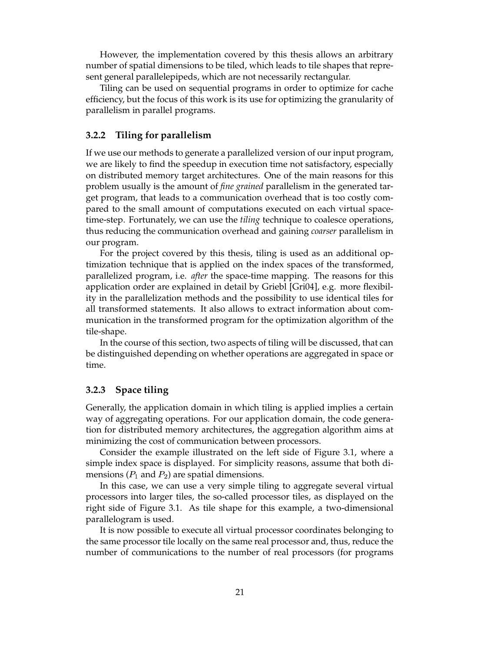However, the implementation covered by this thesis allows an arbitrary number of spatial dimensions to be tiled, which leads to tile shapes that represent general parallelepipeds, which are not necessarily rectangular.

Tiling can be used on sequential programs in order to optimize for cache efficiency, but the focus of this work is its use for optimizing the granularity of parallelism in parallel programs.

### **3.2.2 Tiling for parallelism**

If we use our methods to generate a parallelized version of our input program, we are likely to find the speedup in execution time not satisfactory, especially on distributed memory target architectures. One of the main reasons for this problem usually is the amount of *fine grained* parallelism in the generated target program, that leads to a communication overhead that is too costly compared to the small amount of computations executed on each virtual spacetime-step. Fortunately, we can use the *tiling* technique to coalesce operations, thus reducing the communication overhead and gaining *coarser* parallelism in our program.

For the project covered by this thesis, tiling is used as an additional optimization technique that is applied on the index spaces of the transformed, parallelized program, i.e. *after* the space-time mapping. The reasons for this application order are explained in detail by Griebl [Gri04], e.g. more flexibility in the parallelization methods and the possibility to use identical tiles for all transformed statements. It also allows to extract information about communication in the transformed program for the optimization algorithm of the tile-shape.

In the course of this section, two aspects of tiling will be discussed, that can be distinguished depending on whether operations are aggregated in space or time.

### **3.2.3 Space tiling**

Generally, the application domain in which tiling is applied implies a certain way of aggregating operations. For our application domain, the code generation for distributed memory architectures, the aggregation algorithm aims at minimizing the cost of communication between processors.

Consider the example illustrated on the left side of Figure 3.1, where a simple index space is displayed. For simplicity reasons, assume that both dimensions ( $P_1$  and  $P_2$ ) are spatial dimensions.

In this case, we can use a very simple tiling to aggregate several virtual processors into larger tiles, the so-called processor tiles, as displayed on the right side of Figure 3.1. As tile shape for this example, a two-dimensional parallelogram is used.

It is now possible to execute all virtual processor coordinates belonging to the same processor tile locally on the same real processor and, thus, reduce the number of communications to the number of real processors (for programs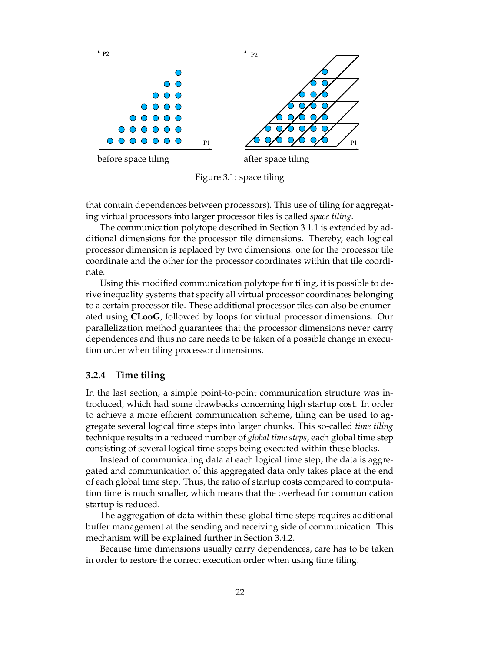

Figure 3.1: space tiling

that contain dependences between processors). This use of tiling for aggregating virtual processors into larger processor tiles is called *space tiling*.

The communication polytope described in Section 3.1.1 is extended by additional dimensions for the processor tile dimensions. Thereby, each logical processor dimension is replaced by two dimensions: one for the processor tile coordinate and the other for the processor coordinates within that tile coordinate.

Using this modified communication polytope for tiling, it is possible to derive inequality systems that specify all virtual processor coordinates belonging to a certain processor tile. These additional processor tiles can also be enumerated using **CLooG**, followed by loops for virtual processor dimensions. Our parallelization method guarantees that the processor dimensions never carry dependences and thus no care needs to be taken of a possible change in execution order when tiling processor dimensions.

### **3.2.4 Time tiling**

In the last section, a simple point-to-point communication structure was introduced, which had some drawbacks concerning high startup cost. In order to achieve a more efficient communication scheme, tiling can be used to aggregate several logical time steps into larger chunks. This so-called *time tiling* technique results in a reduced number of *global time steps*, each global time step consisting of several logical time steps being executed within these blocks.

Instead of communicating data at each logical time step, the data is aggregated and communication of this aggregated data only takes place at the end of each global time step. Thus, the ratio of startup costs compared to computation time is much smaller, which means that the overhead for communication startup is reduced.

The aggregation of data within these global time steps requires additional buffer management at the sending and receiving side of communication. This mechanism will be explained further in Section 3.4.2.

Because time dimensions usually carry dependences, care has to be taken in order to restore the correct execution order when using time tiling.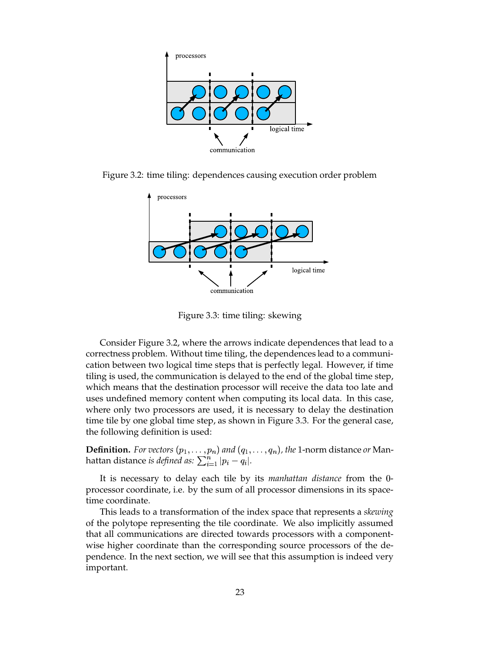

Figure 3.2: time tiling: dependences causing execution order problem



Figure 3.3: time tiling: skewing

Consider Figure 3.2, where the arrows indicate dependences that lead to a correctness problem. Without time tiling, the dependences lead to a communication between two logical time steps that is perfectly legal. However, if time tiling is used, the communication is delayed to the end of the global time step, which means that the destination processor will receive the data too late and uses undefined memory content when computing its local data. In this case, where only two processors are used, it is necessary to delay the destination time tile by one global time step, as shown in Figure 3.3. For the general case, the following definition is used:

**Definition.** For vectors  $(p_1, \ldots, p_n)$  and  $(q_1, \ldots, q_n)$ , the 1-norm distance or Manhattan distance *is defined as:*  $\sum_{i=1}^n |p_i - q_i|$ .

It is necessary to delay each tile by its *manhattan distance* from the 0processor coordinate, i.e. by the sum of all processor dimensions in its spacetime coordinate.

This leads to a transformation of the index space that represents a *skewing* of the polytope representing the tile coordinate. We also implicitly assumed that all communications are directed towards processors with a componentwise higher coordinate than the corresponding source processors of the dependence. In the next section, we will see that this assumption is indeed very important.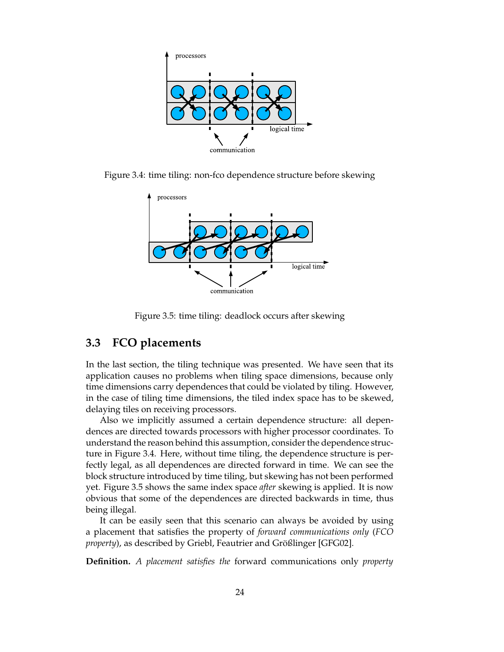

Figure 3.4: time tiling: non-fco dependence structure before skewing



Figure 3.5: time tiling: deadlock occurs after skewing

## **3.3 FCO placements**

In the last section, the tiling technique was presented. We have seen that its application causes no problems when tiling space dimensions, because only time dimensions carry dependences that could be violated by tiling. However, in the case of tiling time dimensions, the tiled index space has to be skewed, delaying tiles on receiving processors.

Also we implicitly assumed a certain dependence structure: all dependences are directed towards processors with higher processor coordinates. To understand the reason behind this assumption, consider the dependence structure in Figure 3.4. Here, without time tiling, the dependence structure is perfectly legal, as all dependences are directed forward in time. We can see the block structure introduced by time tiling, but skewing has not been performed yet. Figure 3.5 shows the same index space *after* skewing is applied. It is now obvious that some of the dependences are directed backwards in time, thus being illegal.

It can be easily seen that this scenario can always be avoided by using a placement that satisfies the property of *forward communications only* (*FCO property*), as described by Griebl, Feautrier and Größlinger [GFG02].

**Definition.** *A placement satisfies the* forward communications only *property*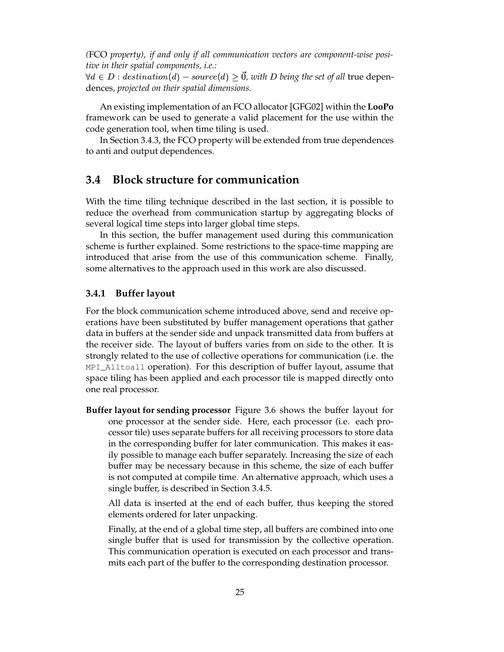*(*FCO *property), if and only if all communication vectors are component-wise positive in their spatial components, i.e.:*

 $\forall d \in D : destination(d) - source(d) \geq \vec{0}$ , with D being the set of all true dependences*, projected on their spatial dimensions.*

An existing implementation of an FCO allocator [GFG02] within the **LooPo** framework can be used to generate a valid placement for the use within the code generation tool, when time tiling is used.

In Section 3.4.3, the FCO property will be extended from true dependences to anti and output dependences.

### **3.4 Block structure for communication**

With the time tiling technique described in the last section, it is possible to reduce the overhead from communication startup by aggregating blocks of several logical time steps into larger global time steps.

In this section, the buffer management used during this communication scheme is further explained. Some restrictions to the space-time mapping are introduced that arise from the use of this communication scheme. Finally, some alternatives to the approach used in this work are also discussed.

### **3.4.1 Buffer layout**

For the block communication scheme introduced above, send and receive operations have been substituted by buffer management operations that gather data in buffers at the sender side and unpack transmitted data from buffers at the receiver side. The layout of buffers varies from on side to the other. It is strongly related to the use of collective operations for communication (i.e. the MPI\_Alltoall operation). For this description of buffer layout, assume that space tiling has been applied and each processor tile is mapped directly onto one real processor.

**Buffer layout for sending processor** Figure 3.6 shows the buffer layout for one processor at the sender side. Here, each processor (i.e. each processor tile) uses separate buffers for all receiving processors to store data in the corresponding buffer for later communication. This makes it easily possible to manage each buffer separately. Increasing the size of each buffer may be necessary because in this scheme, the size of each buffer is not computed at compile time. An alternative approach, which uses a single buffer, is described in Section 3.4.5.

All data is inserted at the end of each buffer, thus keeping the stored elements ordered for later unpacking.

Finally, at the end of a global time step, all buffers are combined into one single buffer that is used for transmission by the collective operation. This communication operation is executed on each processor and transmits each part of the buffer to the corresponding destination processor.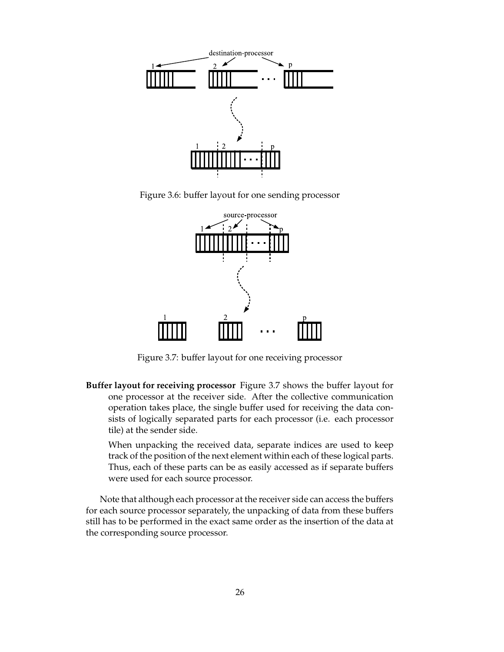

Figure 3.6: buffer layout for one sending processor



Figure 3.7: buffer layout for one receiving processor

**Buffer layout for receiving processor** Figure 3.7 shows the buffer layout for one processor at the receiver side. After the collective communication operation takes place, the single buffer used for receiving the data consists of logically separated parts for each processor (i.e. each processor tile) at the sender side.

When unpacking the received data, separate indices are used to keep track of the position of the next element within each of these logical parts. Thus, each of these parts can be as easily accessed as if separate buffers were used for each source processor.

Note that although each processor at the receiver side can access the buffers for each source processor separately, the unpacking of data from these buffers still has to be performed in the exact same order as the insertion of the data at the corresponding source processor.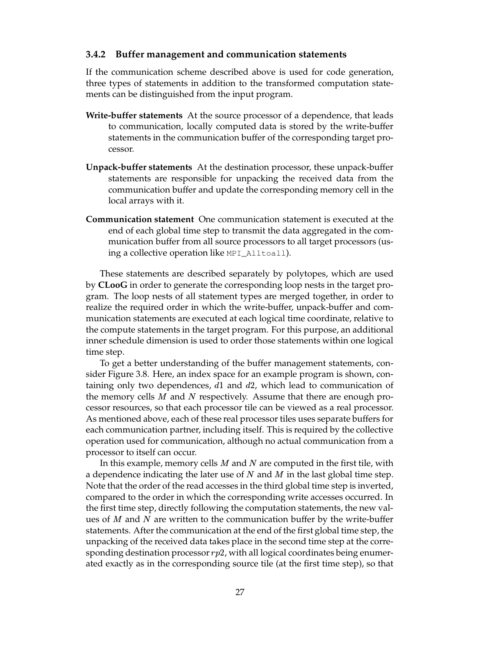### **3.4.2 Buffer management and communication statements**

If the communication scheme described above is used for code generation, three types of statements in addition to the transformed computation statements can be distinguished from the input program.

- **Write-buffer statements** At the source processor of a dependence, that leads to communication, locally computed data is stored by the write-buffer statements in the communication buffer of the corresponding target processor.
- **Unpack-buffer statements** At the destination processor, these unpack-buffer statements are responsible for unpacking the received data from the communication buffer and update the corresponding memory cell in the local arrays with it.
- **Communication statement** One communication statement is executed at the end of each global time step to transmit the data aggregated in the communication buffer from all source processors to all target processors (using a collective operation like MPI\_Alltoall).

These statements are described separately by polytopes, which are used by **CLooG** in order to generate the corresponding loop nests in the target program. The loop nests of all statement types are merged together, in order to realize the required order in which the write-buffer, unpack-buffer and communication statements are executed at each logical time coordinate, relative to the compute statements in the target program. For this purpose, an additional inner schedule dimension is used to order those statements within one logical time step.

To get a better understanding of the buffer management statements, consider Figure 3.8. Here, an index space for an example program is shown, containing only two dependences,  $d1$  and  $d2$ , which lead to communication of the memory cells  $M$  and  $N$  respectively. Assume that there are enough processor resources, so that each processor tile can be viewed as a real processor. As mentioned above, each of these real processor tiles uses separate buffers for each communication partner, including itself. This is required by the collective operation used for communication, although no actual communication from a processor to itself can occur.

In this example, memory cells  $M$  and  $N$  are computed in the first tile, with a dependence indicating the later use of  $N$  and  $M$  in the last global time step. Note that the order of the read accesses in the third global time step is inverted, compared to the order in which the corresponding write accesses occurred. In the first time step, directly following the computation statements, the new values of  $M$  and  $N$  are written to the communication buffer by the write-buffer statements. After the communication at the end of the first global time step, the unpacking of the received data takes place in the second time step at the corresponding destination processor  $rp2$ , with all logical coordinates being enumerated exactly as in the corresponding source tile (at the first time step), so that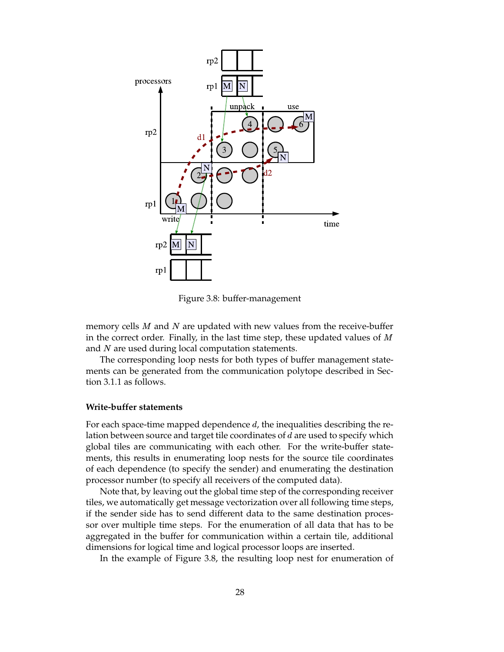

Figure 3.8: buffer-management

memory cells  $M$  and  $N$  are updated with new values from the receive-buffer in the correct order. Finally, in the last time step, these updated values of  $M$ and  $N$  are used during local computation statements.

The corresponding loop nests for both types of buffer management statements can be generated from the communication polytope described in Section 3.1.1 as follows.

#### **Write-buffer statements**

For each space-time mapped dependence  $d$ , the inequalities describing the relation between source and target tile coordinates of  $d$  are used to specify which global tiles are communicating with each other. For the write-buffer statements, this results in enumerating loop nests for the source tile coordinates of each dependence (to specify the sender) and enumerating the destination processor number (to specify all receivers of the computed data).

Note that, by leaving out the global time step of the corresponding receiver tiles, we automatically get message vectorization over all following time steps, if the sender side has to send different data to the same destination processor over multiple time steps. For the enumeration of all data that has to be aggregated in the buffer for communication within a certain tile, additional dimensions for logical time and logical processor loops are inserted.

In the example of Figure 3.8, the resulting loop nest for enumeration of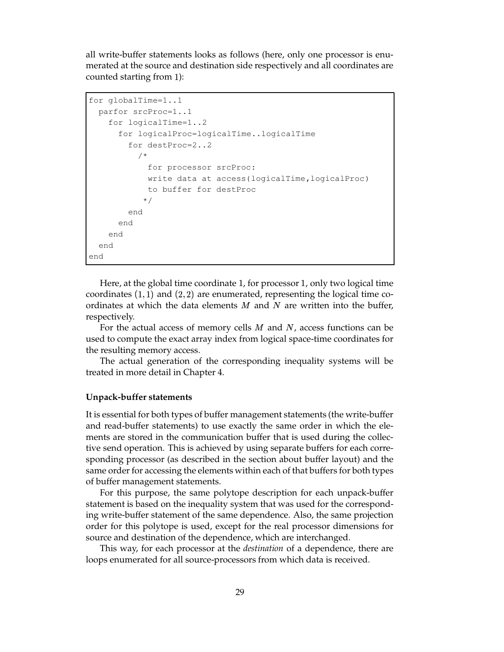all write-buffer statements looks as follows (here, only one processor is enumerated at the source and destination side respectively and all coordinates are counted starting from ):

```
for globalTime=1..1
 parfor srcProc=1..1
   for logicalTime=1..2
      for logicalProc=logicalTime..logicalTime
        for destProc=2..2
          /*
            for processor srcProc:
            write data at access(logicalTime,logicalProc)
            to buffer for destProc
           */
        end
      end
    end
  end
end
```
Here, at the global time coordinate 1, for processor 1, only two logical time coordinates  $(1, 1)$  and  $(2, 2)$  are enumerated, representing the logical time coordinates at which the data elements  $M$  and  $N$  are written into the buffer, respectively.

For the actual access of memory cells  $M$  and  $N$ , access functions can be used to compute the exact array index from logical space-time coordinates for the resulting memory access.

The actual generation of the corresponding inequality systems will be treated in more detail in Chapter 4.

#### **Unpack-buffer statements**

It is essential for both types of buffer management statements (the write-buffer and read-buffer statements) to use exactly the same order in which the elements are stored in the communication buffer that is used during the collective send operation. This is achieved by using separate buffers for each corresponding processor (as described in the section about buffer layout) and the same order for accessing the elements within each of that buffers for both types of buffer management statements.

For this purpose, the same polytope description for each unpack-buffer statement is based on the inequality system that was used for the corresponding write-buffer statement of the same dependence. Also, the same projection order for this polytope is used, except for the real processor dimensions for source and destination of the dependence, which are interchanged.

This way, for each processor at the *destination* of a dependence, there are loops enumerated for all source-processors from which data is received.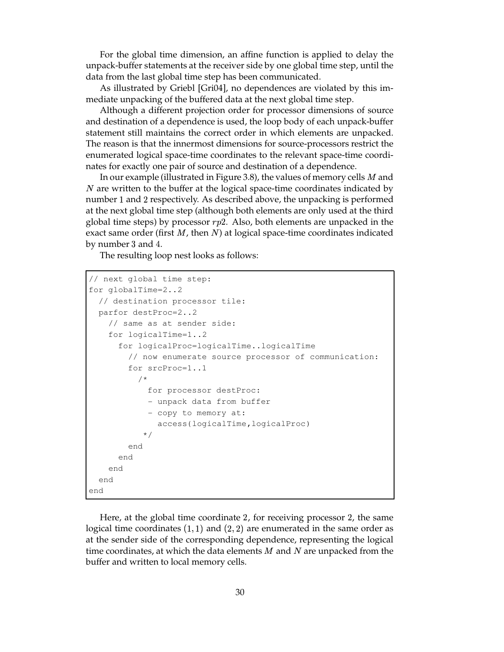For the global time dimension, an affine function is applied to delay the unpack-buffer statements at the receiver side by one global time step, until the data from the last global time step has been communicated.

As illustrated by Griebl [Gri04], no dependences are violated by this immediate unpacking of the buffered data at the next global time step.

Although a different projection order for processor dimensions of source and destination of a dependence is used, the loop body of each unpack-buffer statement still maintains the correct order in which elements are unpacked. The reason is that the innermost dimensions for source-processors restrict the enumerated logical space-time coordinates to the relevant space-time coordinates for exactly one pair of source and destination of a dependence.

In our example (illustrated in Figure 3.8), the values of memory cells  $M$  and  *are written to the buffer at the logical space-time coordinates indicated by* number 1 and 2 respectively. As described above, the unpacking is performed at the next global time step (although both elements are only used at the third global time steps) by processor  $rp2$ . Also, both elements are unpacked in the exact same order (first  $M$ , then  $N$ ) at logical space-time coordinates indicated by number 3 and 4.

The resulting loop nest looks as follows:

```
// next global time step:
for globalTime=2..2
  // destination processor tile:
 parfor destProc=2..2
    // same as at sender side:
    for logicalTime=1..2
      for logicalProc=logicalTime..logicalTime
        // now enumerate source processor of communication:
        for srcProc=1..1
          /*
            for processor destProc:
            - unpack data from buffer
            - copy to memory at:
              access(logicalTime,logicalProc)
           */
        end
      end
    end
  end
end
```
Here, at the global time coordinate 2, for receiving processor 2, the same logical time coordinates  $(1, 1)$  and  $(2, 2)$  are enumerated in the same order as at the sender side of the corresponding dependence, representing the logical time coordinates, at which the data elements  $M$  and  $N$  are unpacked from the buffer and written to local memory cells.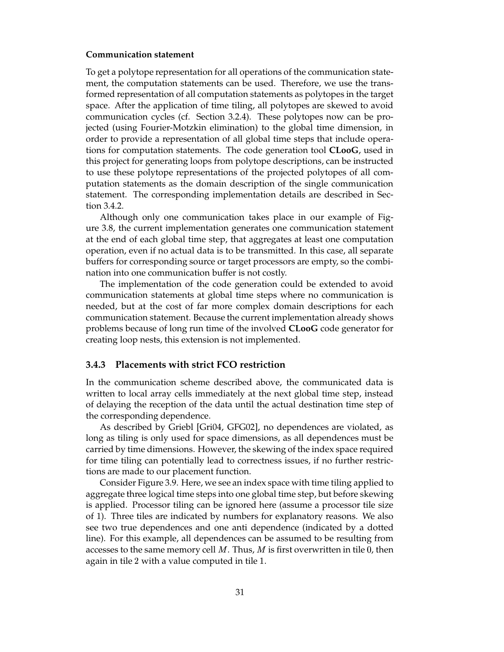### **Communication statement**

To get a polytope representation for all operations of the communication statement, the computation statements can be used. Therefore, we use the transformed representation of all computation statements as polytopes in the target space. After the application of time tiling, all polytopes are skewed to avoid communication cycles (cf. Section 3.2.4). These polytopes now can be projected (using Fourier-Motzkin elimination) to the global time dimension, in order to provide a representation of all global time steps that include operations for computation statements. The code generation tool **CLooG**, used in this project for generating loops from polytope descriptions, can be instructed to use these polytope representations of the projected polytopes of all computation statements as the domain description of the single communication statement. The corresponding implementation details are described in Section 3.4.2.

Although only one communication takes place in our example of Figure 3.8, the current implementation generates one communication statement at the end of each global time step, that aggregates at least one computation operation, even if no actual data is to be transmitted. In this case, all separate buffers for corresponding source or target processors are empty, so the combination into one communication buffer is not costly.

The implementation of the code generation could be extended to avoid communication statements at global time steps where no communication is needed, but at the cost of far more complex domain descriptions for each communication statement. Because the current implementation already shows problems because of long run time of the involved **CLooG** code generator for creating loop nests, this extension is not implemented.

#### **3.4.3 Placements with strict FCO restriction**

In the communication scheme described above, the communicated data is written to local array cells immediately at the next global time step, instead of delaying the reception of the data until the actual destination time step of the corresponding dependence.

As described by Griebl [Gri04, GFG02], no dependences are violated, as long as tiling is only used for space dimensions, as all dependences must be carried by time dimensions. However, the skewing of the index space required for time tiling can potentially lead to correctness issues, if no further restrictions are made to our placement function.

Consider Figure 3.9. Here, we see an index space with time tiling applied to aggregate three logical time steps into one global time step, but before skewing is applied. Processor tiling can be ignored here (assume a processor tile size of ). Three tiles are indicated by numbers for explanatory reasons. We also see two true dependences and one anti dependence (indicated by a dotted line). For this example, all dependences can be assumed to be resulting from accesses to the same memory cell  $M$ . Thus,  $M$  is first overwritten in tile 0, then again in tile 2 with a value computed in tile 1.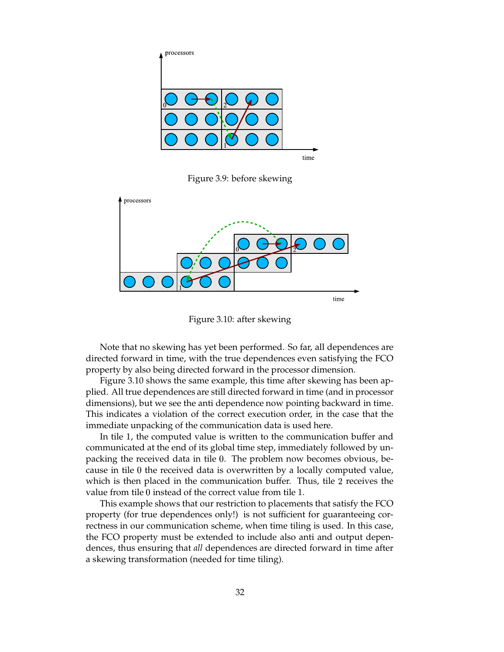

Figure 3.9: before skewing



Figure 3.10: after skewing

Note that no skewing has yet been performed. So far, all dependences are directed forward in time, with the true dependences even satisfying the FCO property by also being directed forward in the processor dimension.

Figure 3.10 shows the same example, this time after skewing has been applied. All true dependences are still directed forward in time (and in processor dimensions), but we see the anti dependence now pointing backward in time. This indicates a violation of the correct execution order, in the case that the immediate unpacking of the communication data is used here.

In tile 1, the computed value is written to the communication buffer and communicated at the end of its global time step, immediately followed by unpacking the received data in tile  $0$ . The problem now becomes obvious, because in tile  $0$  the received data is overwritten by a locally computed value, which is then placed in the communication buffer. Thus, tile 2 receives the value from tile  $0$  instead of the correct value from tile 1.

This example shows that our restriction to placements that satisfy the FCO property (for true dependences only!) is not sufficient for guaranteeing correctness in our communication scheme, when time tiling is used. In this case, the FCO property must be extended to include also anti and output dependences, thus ensuring that *all* dependences are directed forward in time after a skewing transformation (needed for time tiling).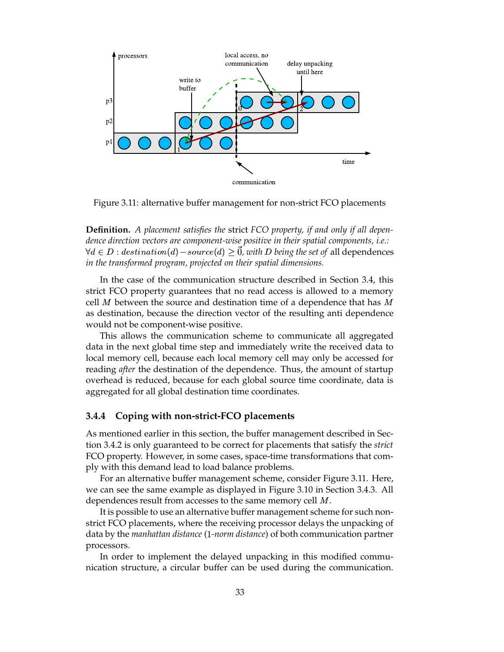

Figure 3.11: alternative buffer management for non-strict FCO placements

**Definition.** *A placement satisfies the* strict *FCO property, if and only if all dependence direction vectors are component-wise positive in their spatial components, i.e.:*  $\forall d \in D: destination(d)-source(d) \geq \vec{0}$ , with  $D$  being the set of all dependences *in the transformed program, projected on their spatial dimensions.*

In the case of the communication structure described in Section 3.4, this strict FCO property guarantees that no read access is allowed to a memory cell  $M$  between the source and destination time of a dependence that has  $M$ as destination, because the direction vector of the resulting anti dependence would not be component-wise positive.

This allows the communication scheme to communicate all aggregated data in the next global time step and immediately write the received data to local memory cell, because each local memory cell may only be accessed for reading *after* the destination of the dependence. Thus, the amount of startup overhead is reduced, because for each global source time coordinate, data is aggregated for all global destination time coordinates.

### **3.4.4 Coping with non-strict-FCO placements**

As mentioned earlier in this section, the buffer management described in Section 3.4.2 is only guaranteed to be correct for placements that satisfy the *strict* FCO property. However, in some cases, space-time transformations that comply with this demand lead to load balance problems.

For an alternative buffer management scheme, consider Figure 3.11. Here, we can see the same example as displayed in Figure 3.10 in Section 3.4.3. All dependences result from accesses to the same memory cell  $M$ .

It is possible to use an alternative buffer management scheme for such nonstrict FCO placements, where the receiving processor delays the unpacking of data by the *manhattan distance* ( *-norm distance*) of both communication partner processors.

In order to implement the delayed unpacking in this modified communication structure, a circular buffer can be used during the communication.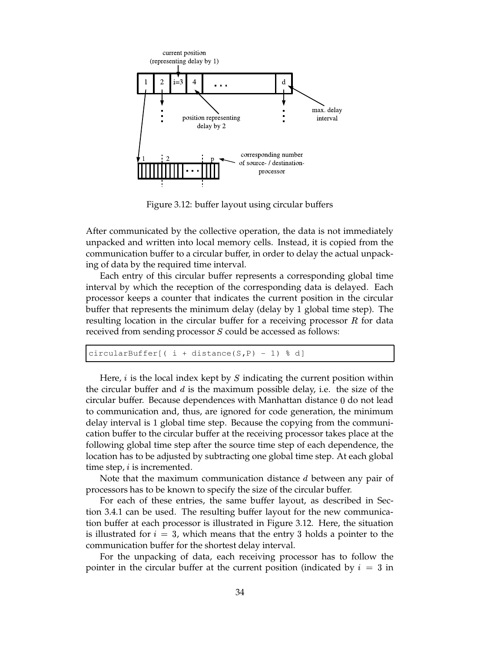

Figure 3.12: buffer layout using circular buffers

After communicated by the collective operation, the data is not immediately unpacked and written into local memory cells. Instead, it is copied from the communication buffer to a circular buffer, in order to delay the actual unpacking of data by the required time interval.

Each entry of this circular buffer represents a corresponding global time interval by which the reception of the corresponding data is delayed. Each processor keeps a counter that indicates the current position in the circular buffer that represents the minimum delay (delay by global time step). The resulting location in the circular buffer for a receiving processor  $R$  for data received from sending processor  $S$  could be accessed as follows:

```
circularBuffer[ (i + distance(S, P) - 1) d]
```
Here,  $i$  is the local index kept by  $S$  indicating the current position within the circular buffer and  $d$  is the maximum possible delay, i.e. the size of the circular buffer. Because dependences with Manhattan distance 0 do not lead to communication and, thus, are ignored for code generation, the minimum delay interval is 1 global time step. Because the copying from the communication buffer to the circular buffer at the receiving processor takes place at the following global time step after the source time step of each dependence, the location has to be adjusted by subtracting one global time step. At each global time step,  $i$  is incremented.

Note that the maximum communication distance  $d$  between any pair of processors has to be known to specify the size of the circular buffer.

For each of these entries, the same buffer layout, as described in Section 3.4.1 can be used. The resulting buffer layout for the new communication buffer at each processor is illustrated in Figure 3.12. Here, the situation is illustrated for  $i=3$ , which means that the entry 3 holds a pointer to the communication buffer for the shortest delay interval.

For the unpacking of data, each receiving processor has to follow the pointer in the circular buffer at the current position (indicated by  $i=3$  in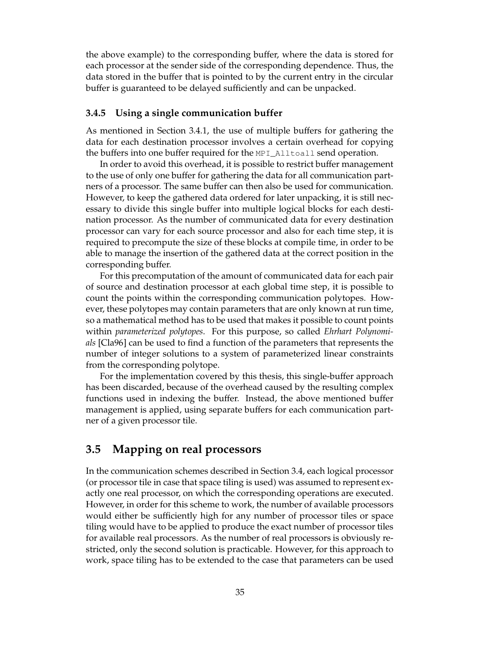the above example) to the corresponding buffer, where the data is stored for each processor at the sender side of the corresponding dependence. Thus, the data stored in the buffer that is pointed to by the current entry in the circular buffer is guaranteed to be delayed sufficiently and can be unpacked.

### **3.4.5 Using a single communication buffer**

As mentioned in Section 3.4.1, the use of multiple buffers for gathering the data for each destination processor involves a certain overhead for copying the buffers into one buffer required for the  $MPI\_Alltotal1$  send operation.

In order to avoid this overhead, it is possible to restrict buffer management to the use of only one buffer for gathering the data for all communication partners of a processor. The same buffer can then also be used for communication. However, to keep the gathered data ordered for later unpacking, it is still necessary to divide this single buffer into multiple logical blocks for each destination processor. As the number of communicated data for every destination processor can vary for each source processor and also for each time step, it is required to precompute the size of these blocks at compile time, in order to be able to manage the insertion of the gathered data at the correct position in the corresponding buffer.

For this precomputation of the amount of communicated data for each pair of source and destination processor at each global time step, it is possible to count the points within the corresponding communication polytopes. However, these polytopes may contain parameters that are only known at run time, so a mathematical method has to be used that makes it possible to count points within *parameterized polytopes*. For this purpose, so called *Ehrhart Polynomials* [Cla96] can be used to find a function of the parameters that represents the number of integer solutions to a system of parameterized linear constraints from the corresponding polytope.

For the implementation covered by this thesis, this single-buffer approach has been discarded, because of the overhead caused by the resulting complex functions used in indexing the buffer. Instead, the above mentioned buffer management is applied, using separate buffers for each communication partner of a given processor tile.

### **3.5 Mapping on real processors**

In the communication schemes described in Section 3.4, each logical processor (or processor tile in case that space tiling is used) was assumed to represent exactly one real processor, on which the corresponding operations are executed. However, in order for this scheme to work, the number of available processors would either be sufficiently high for any number of processor tiles or space tiling would have to be applied to produce the exact number of processor tiles for available real processors. As the number of real processors is obviously restricted, only the second solution is practicable. However, for this approach to work, space tiling has to be extended to the case that parameters can be used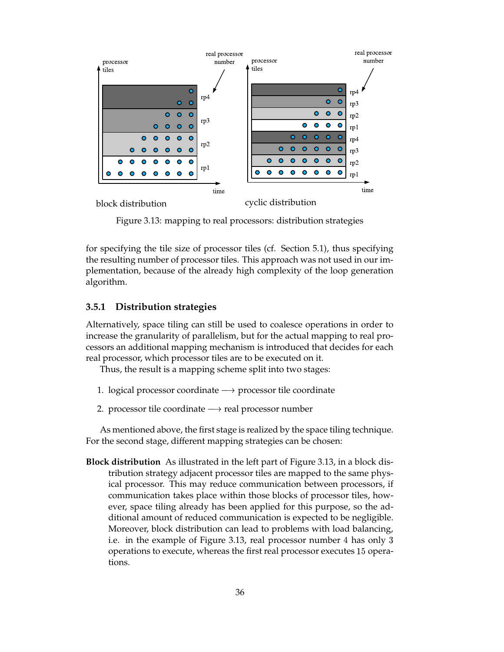

Figure 3.13: mapping to real processors: distribution strategies

for specifying the tile size of processor tiles (cf. Section 5.1), thus specifying the resulting number of processor tiles. This approach was not used in our implementation, because of the already high complexity of the loop generation algorithm.

#### **3.5.1 Distribution strategies**

Alternatively, space tiling can still be used to coalesce operations in order to increase the granularity of parallelism, but for the actual mapping to real processors an additional mapping mechanism is introduced that decides for each real processor, which processor tiles are to be executed on it.

Thus, the result is a mapping scheme split into two stages:

- 1. logical processor coordinate  $\rightarrow$  processor tile coordinate
- 2. processor tile coordinate  $\rightarrow$  real processor number

As mentioned above, the first stage is realized by the space tiling technique. For the second stage, different mapping strategies can be chosen:

**Block distribution** As illustrated in the left part of Figure 3.13, in a block distribution strategy adjacent processor tiles are mapped to the same physical processor. This may reduce communication between processors, if communication takes place within those blocks of processor tiles, however, space tiling already has been applied for this purpose, so the additional amount of reduced communication is expected to be negligible. Moreover, block distribution can lead to problems with load balancing, i.e. in the example of Figure 3.13, real processor number 4 has only 3 operations to execute, whereas the first real processor executes 15 operations.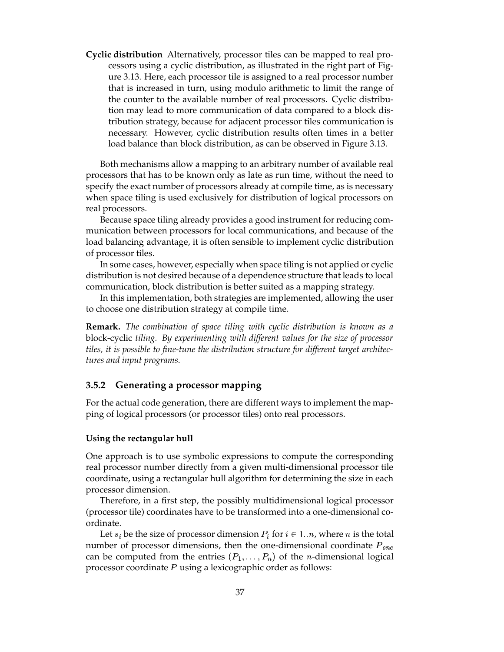**Cyclic distribution** Alternatively, processor tiles can be mapped to real processors using a cyclic distribution, as illustrated in the right part of Figure 3.13. Here, each processor tile is assigned to a real processor number that is increased in turn, using modulo arithmetic to limit the range of the counter to the available number of real processors. Cyclic distribution may lead to more communication of data compared to a block distribution strategy, because for adjacent processor tiles communication is necessary. However, cyclic distribution results often times in a better load balance than block distribution, as can be observed in Figure 3.13.

Both mechanisms allow a mapping to an arbitrary number of available real processors that has to be known only as late as run time, without the need to specify the exact number of processors already at compile time, as is necessary when space tiling is used exclusively for distribution of logical processors on real processors.

Because space tiling already provides a good instrument for reducing communication between processors for local communications, and because of the load balancing advantage, it is often sensible to implement cyclic distribution of processor tiles.

In some cases, however, especially when space tiling is not applied or cyclic distribution is not desired because of a dependence structure that leads to local communication, block distribution is better suited as a mapping strategy.

In this implementation, both strategies are implemented, allowing the user to choose one distribution strategy at compile time.

**Remark.** *The combination of space tiling with cyclic distribution is known as a* block-cyclic *tiling. By experimenting with different values for the size of processor tiles, it is possible to fine-tune the distribution structure for different target architectures and input programs.*

#### **3.5.2 Generating a processor mapping**

For the actual code generation, there are different ways to implement the mapping of logical processors (or processor tiles) onto real processors.

#### **Using the rectangular hull**

One approach is to use symbolic expressions to compute the corresponding real processor number directly from a given multi-dimensional processor tile coordinate, using a rectangular hull algorithm for determining the size in each processor dimension.

Therefore, in a first step, the possibly multidimensional logical processor (processor tile) coordinates have to be transformed into a one-dimensional coordinate.

Let  $s_i$  be the size of processor dimension  $P_i$  for  $i \in 1..n$ , where *n* is the total number of processor dimensions, then the one-dimensional coordinate  $P_{one}$ can be computed from the entries  $(P_1, \ldots, P_n)$  of the *n*-dimensional logical processor coordinate  $P$  using a lexicographic order as follows: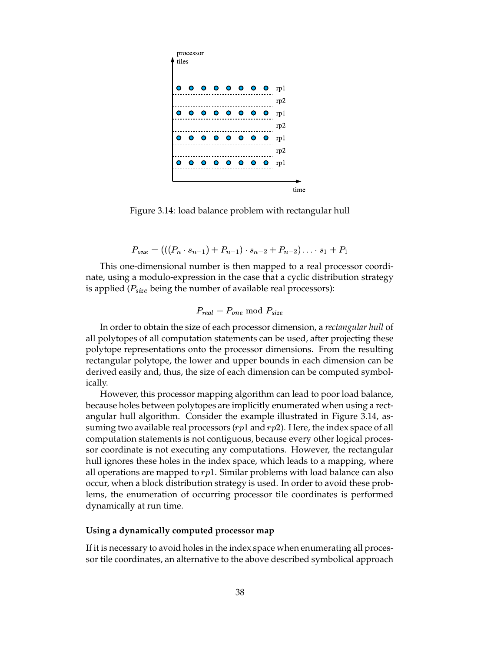

Figure 3.14: load balance problem with rectangular hull

$$
P_{one} = (((P_n \cdot s_{n-1}) + P_{n-1}) \cdot s_{n-2} + P_{n-2}) \cdot \cdot \cdot s_1 + P_1
$$

This one-dimensional number is then mapped to a real processor coordinate, using a modulo-expression in the case that a cyclic distribution strategy is applied ( $P_{size}$  being the number of available real processors):

$$
P_{real}=P_{one}\bmod P_{size}
$$

In order to obtain the size of each processor dimension, a *rectangular hull* of all polytopes of all computation statements can be used, after projecting these polytope representations onto the processor dimensions. From the resulting rectangular polytope, the lower and upper bounds in each dimension can be derived easily and, thus, the size of each dimension can be computed symbolically.

However, this processor mapping algorithm can lead to poor load balance, because holes between polytopes are implicitly enumerated when using a rectangular hull algorithm. Consider the example illustrated in Figure 3.14, assuming two available real processors ( $rp1$  and  $rp2$ ). Here, the index space of all computation statements is not contiguous, because every other logical processor coordinate is not executing any computations. However, the rectangular hull ignores these holes in the index space, which leads to a mapping, where all operations are mapped to  $rp1$ . Similar problems with load balance can also occur, when a block distribution strategy is used. In order to avoid these problems, the enumeration of occurring processor tile coordinates is performed dynamically at run time.

#### **Using a dynamically computed processor map**

If it is necessary to avoid holes in the index space when enumerating all processor tile coordinates, an alternative to the above described symbolical approach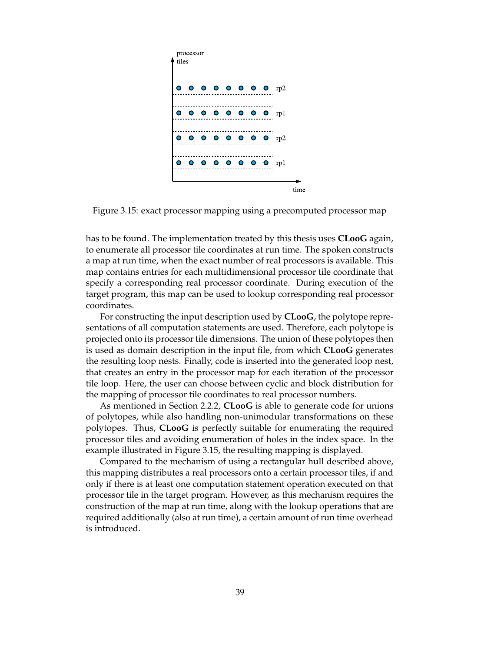

Figure 3.15: exact processor mapping using a precomputed processor map

has to be found. The implementation treated by this thesis uses **CLooG** again, to enumerate all processor tile coordinates at run time. The spoken constructs a map at run time, when the exact number of real processors is available. This map contains entries for each multidimensional processor tile coordinate that specify a corresponding real processor coordinate. During execution of the target program, this map can be used to lookup corresponding real processor coordinates.

For constructing the input description used by **CLooG**, the polytope representations of all computation statements are used. Therefore, each polytope is projected onto its processor tile dimensions. The union of these polytopes then is used as domain description in the input file, from which **CLooG** generates the resulting loop nests. Finally, code is inserted into the generated loop nest, that creates an entry in the processor map for each iteration of the processor tile loop. Here, the user can choose between cyclic and block distribution for the mapping of processor tile coordinates to real processor numbers.

As mentioned in Section 2.2.2, **CLooG** is able to generate code for unions of polytopes, while also handling non-unimodular transformations on these polytopes. Thus, **CLooG** is perfectly suitable for enumerating the required processor tiles and avoiding enumeration of holes in the index space. In the example illustrated in Figure 3.15, the resulting mapping is displayed.

Compared to the mechanism of using a rectangular hull described above, this mapping distributes a real processors onto a certain processor tiles, if and only if there is at least one computation statement operation executed on that processor tile in the target program. However, as this mechanism requires the construction of the map at run time, along with the lookup operations that are required additionally (also at run time), a certain amount of run time overhead is introduced.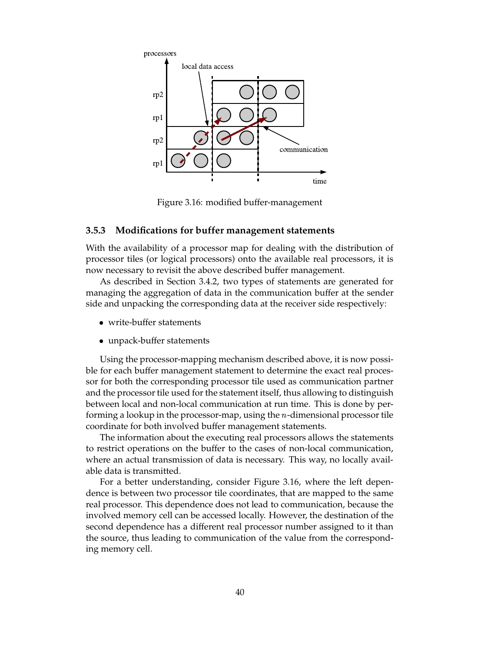

Figure 3.16: modified buffer-management

#### **3.5.3 Modifications for buffer management statements**

With the availability of a processor map for dealing with the distribution of processor tiles (or logical processors) onto the available real processors, it is now necessary to revisit the above described buffer management.

As described in Section 3.4.2, two types of statements are generated for managing the aggregation of data in the communication buffer at the sender side and unpacking the corresponding data at the receiver side respectively:

- write-buffer statements
- unpack-buffer statements

Using the processor-mapping mechanism described above, it is now possible for each buffer management statement to determine the exact real processor for both the corresponding processor tile used as communication partner and the processor tile used for the statement itself, thus allowing to distinguish between local and non-local communication at run time. This is done by performing a lookup in the processor-map, using the  $n$ -dimensional processor tile coordinate for both involved buffer management statements.

The information about the executing real processors allows the statements to restrict operations on the buffer to the cases of non-local communication, where an actual transmission of data is necessary. This way, no locally available data is transmitted.

For a better understanding, consider Figure 3.16, where the left dependence is between two processor tile coordinates, that are mapped to the same real processor. This dependence does not lead to communication, because the involved memory cell can be accessed locally. However, the destination of the second dependence has a different real processor number assigned to it than the source, thus leading to communication of the value from the corresponding memory cell.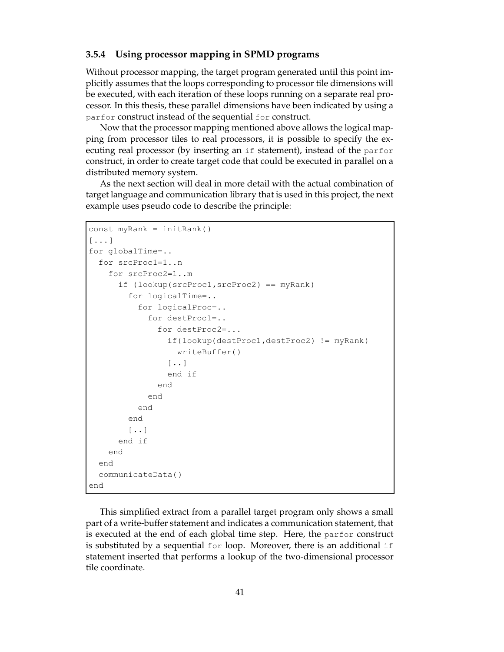#### **3.5.4 Using processor mapping in SPMD programs**

Without processor mapping, the target program generated until this point implicitly assumes that the loops corresponding to processor tile dimensions will be executed, with each iteration of these loops running on a separate real processor. In this thesis, these parallel dimensions have been indicated by using a parfor construct instead of the sequential for construct.

Now that the processor mapping mentioned above allows the logical mapping from processor tiles to real processors, it is possible to specify the executing real processor (by inserting an if statement), instead of the parfor construct, in order to create target code that could be executed in parallel on a distributed memory system.

As the next section will deal in more detail with the actual combination of target language and communication library that is used in this project, the next example uses pseudo code to describe the principle:

```
const myRank = initRank()
[...]
for globalTime=..
  for srcProc1=1..n
    for srcProc2=1..m
      if (lookup(srcProc1,srcProc2) == myRank)
        for logicalTime=..
          for logicalProc=..
            for destProc1=..
               for destProc2=...
                 if(lookup(destProc1,destProc2) != myRank)
                   writeBuffer()
                 [..]
                 end if
               end
             end
          end
        end
        \lceil..]
      end if
    end
  end
  communicateData()
end
```
This simplified extract from a parallel target program only shows a small part of a write-buffer statement and indicates a communication statement, that is executed at the end of each global time step. Here, the parfor construct is substituted by a sequential  $for loop$ . Moreover, there is an additional if statement inserted that performs a lookup of the two-dimensional processor tile coordinate.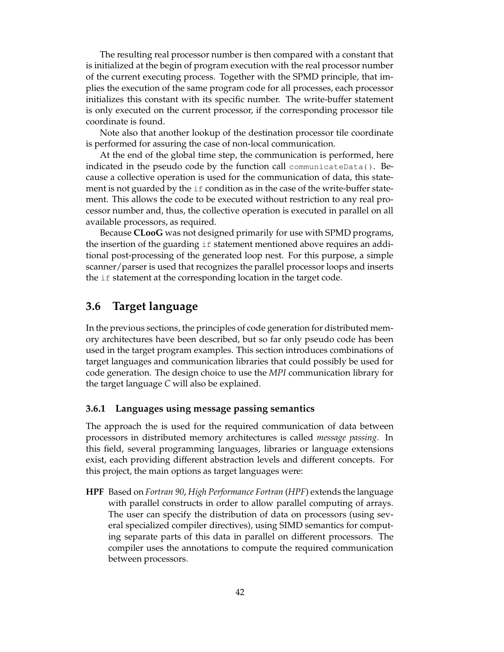The resulting real processor number is then compared with a constant that is initialized at the begin of program execution with the real processor number of the current executing process. Together with the SPMD principle, that implies the execution of the same program code for all processes, each processor initializes this constant with its specific number. The write-buffer statement is only executed on the current processor, if the corresponding processor tile coordinate is found.

Note also that another lookup of the destination processor tile coordinate is performed for assuring the case of non-local communication.

At the end of the global time step, the communication is performed, here indicated in the pseudo code by the function call communicateData(). Because a collective operation is used for the communication of data, this statement is not guarded by the  $\pm \epsilon$  condition as in the case of the write-buffer statement. This allows the code to be executed without restriction to any real processor number and, thus, the collective operation is executed in parallel on all available processors, as required.

Because **CLooG** was not designed primarily for use with SPMD programs, the insertion of the guarding if statement mentioned above requires an additional post-processing of the generated loop nest. For this purpose, a simple scanner/parser is used that recognizes the parallel processor loops and inserts the if statement at the corresponding location in the target code.

## **3.6 Target language**

In the previous sections, the principles of code generation for distributed memory architectures have been described, but so far only pseudo code has been used in the target program examples. This section introduces combinations of target languages and communication libraries that could possibly be used for code generation. The design choice to use the *MPI* communication library for the target language *C* will also be explained.

#### **3.6.1 Languages using message passing semantics**

The approach the is used for the required communication of data between processors in distributed memory architectures is called *message passing*. In this field, several programming languages, libraries or language extensions exist, each providing different abstraction levels and different concepts. For this project, the main options as target languages were:

**HPF** Based on *Fortran 90*, *High Performance Fortran* (*HPF*) extends the language with parallel constructs in order to allow parallel computing of arrays. The user can specify the distribution of data on processors (using several specialized compiler directives), using SIMD semantics for computing separate parts of this data in parallel on different processors. The compiler uses the annotations to compute the required communication between processors.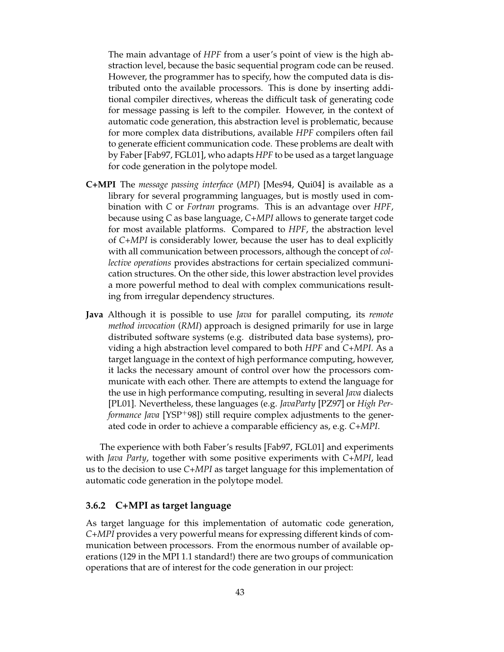The main advantage of *HPF* from a user's point of view is the high abstraction level, because the basic sequential program code can be reused. However, the programmer has to specify, how the computed data is distributed onto the available processors. This is done by inserting additional compiler directives, whereas the difficult task of generating code for message passing is left to the compiler. However, in the context of automatic code generation, this abstraction level is problematic, because for more complex data distributions, available *HPF* compilers often fail to generate efficient communication code. These problems are dealt with by Faber [Fab97, FGL01], who adapts *HPF* to be used as a target language for code generation in the polytope model.

- **C+MPI** The *message passing interface* (*MPI*) [Mes94, Qui04] is available as a library for several programming languages, but is mostly used in combination with *C* or *Fortran* programs. This is an advantage over *HPF*, because using *C* as base language, *C+MPI* allows to generate target code for most available platforms. Compared to *HPF*, the abstraction level of *C+MPI* is considerably lower, because the user has to deal explicitly with all communication between processors, although the concept of *collective operations* provides abstractions for certain specialized communication structures. On the other side, this lower abstraction level provides a more powerful method to deal with complex communications resulting from irregular dependency structures.
- **Java** Although it is possible to use *Java* for parallel computing, its *remote method invocation* (*RMI*) approach is designed primarily for use in large distributed software systems (e.g. distributed data base systems), providing a high abstraction level compared to both *HPF* and *C+MPI*. As a target language in the context of high performance computing, however, it lacks the necessary amount of control over how the processors communicate with each other. There are attempts to extend the language for the use in high performance computing, resulting in several *Java* dialects [PL01]. Nevertheless, these languages (e.g. *JavaParty* [PZ97] or *High Performance Java* [YSP<sup>+98]</sup>) still require complex adjustments to the generated code in order to achieve a comparable efficiency as, e.g. *C+MPI*.

The experience with both Faber's results [Fab97, FGL01] and experiments with *Java Party*, together with some positive experiments with *C+MPI*, lead us to the decision to use *C+MPI* as target language for this implementation of automatic code generation in the polytope model.

#### **3.6.2 C+MPI as target language**

As target language for this implementation of automatic code generation, *C+MPI* provides a very powerful means for expressing different kinds of communication between processors. From the enormous number of available operations (129 in the MPI 1.1 standard!) there are two groups of communication operations that are of interest for the code generation in our project: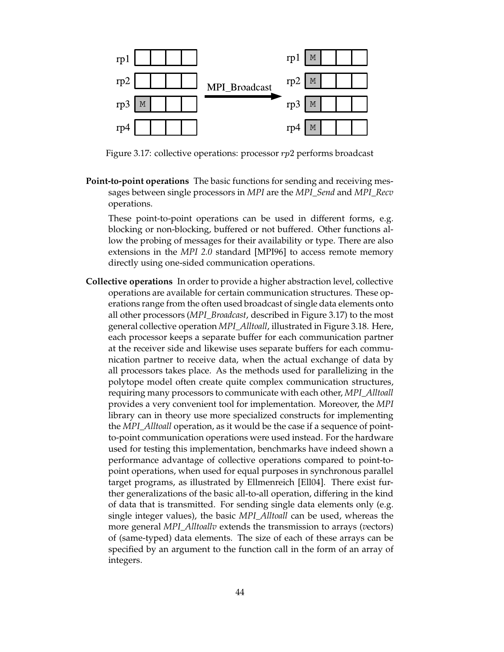

Figure 3.17: collective operations: processor  $rp2$  performs broadcast

**Point-to-point operations** The basic functions for sending and receiving messages between single processors in *MPI* are the *MPI\_Send* and *MPI\_Recv* operations.

These point-to-point operations can be used in different forms, e.g. blocking or non-blocking, buffered or not buffered. Other functions allow the probing of messages for their availability or type. There are also extensions in the *MPI 2.0* standard [MPI96] to access remote memory directly using one-sided communication operations.

**Collective operations** In order to provide a higher abstraction level, collective operations are available for certain communication structures. These operations range from the often used broadcast of single data elements onto all other processors (*MPI\_Broadcast*, described in Figure 3.17) to the most general collective operation *MPI\_Alltoall*, illustrated in Figure 3.18. Here, each processor keeps a separate buffer for each communication partner at the receiver side and likewise uses separate buffers for each communication partner to receive data, when the actual exchange of data by all processors takes place. As the methods used for parallelizing in the polytope model often create quite complex communication structures, requiring many processors to communicate with each other, *MPI\_Alltoall* provides a very convenient tool for implementation. Moreover, the *MPI* library can in theory use more specialized constructs for implementing the *MPI\_Alltoall* operation, as it would be the case if a sequence of pointto-point communication operations were used instead. For the hardware used for testing this implementation, benchmarks have indeed shown a performance advantage of collective operations compared to point-topoint operations, when used for equal purposes in synchronous parallel target programs, as illustrated by Ellmenreich [Ell04]. There exist further generalizations of the basic all-to-all operation, differing in the kind of data that is transmitted. For sending single data elements only (e.g. single integer values), the basic *MPI\_Alltoall* can be used, whereas the more general *MPI\_Alltoallv* extends the transmission to arrays (*v*ectors) of (same-typed) data elements. The size of each of these arrays can be specified by an argument to the function call in the form of an array of integers.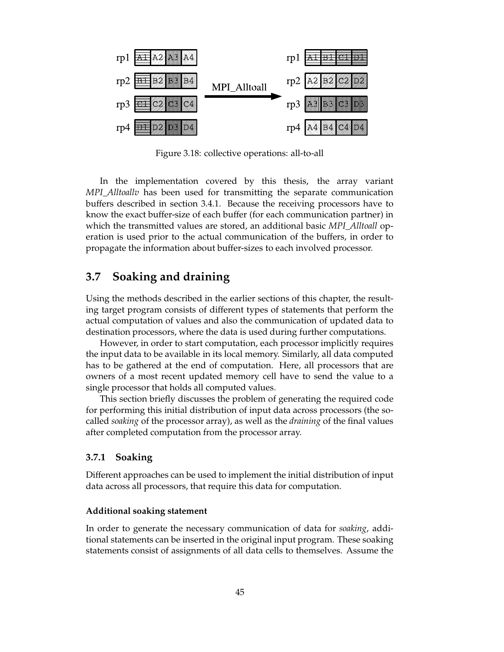

Figure 3.18: collective operations: all-to-all

In the implementation covered by this thesis, the array variant *MPI\_Alltoallv* has been used for transmitting the separate communication buffers described in section 3.4.1. Because the receiving processors have to know the exact buffer-size of each buffer (for each communication partner) in which the transmitted values are stored, an additional basic *MPI\_Alltoall* operation is used prior to the actual communication of the buffers, in order to propagate the information about buffer-sizes to each involved processor.

## **3.7 Soaking and draining**

Using the methods described in the earlier sections of this chapter, the resulting target program consists of different types of statements that perform the actual computation of values and also the communication of updated data to destination processors, where the data is used during further computations.

However, in order to start computation, each processor implicitly requires the input data to be available in its local memory. Similarly, all data computed has to be gathered at the end of computation. Here, all processors that are owners of a most recent updated memory cell have to send the value to a single processor that holds all computed values.

This section briefly discusses the problem of generating the required code for performing this initial distribution of input data across processors (the socalled *soaking* of the processor array), as well as the *draining* of the final values after completed computation from the processor array.

#### **3.7.1 Soaking**

Different approaches can be used to implement the initial distribution of input data across all processors, that require this data for computation.

#### **Additional soaking statement**

In order to generate the necessary communication of data for *soaking*, additional statements can be inserted in the original input program. These soaking statements consist of assignments of all data cells to themselves. Assume the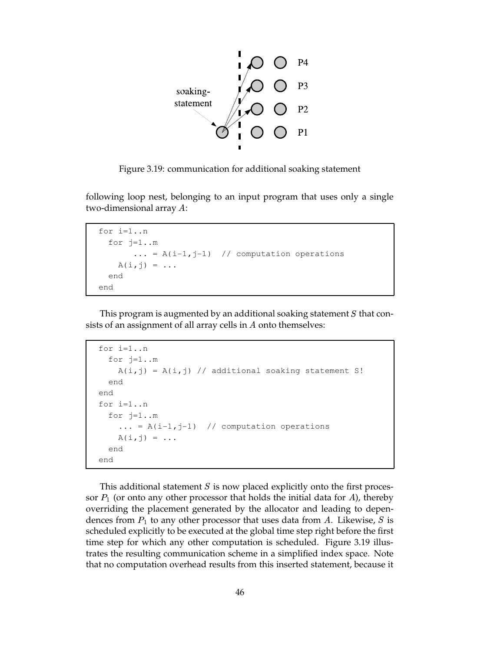

Figure 3.19: communication for additional soaking statement

following loop nest, belonging to an input program that uses only a single two-dimensional array  $A$ :

```
for i=1..n
 for j=1...m\ldots = A(i-1,j-1) // computation operations
    A(i, j) = \ldotsend
end
```
This program is augmented by an additional soaking statement  $S$  that consists of an assignment of all array cells in  $A$  onto themselves:

```
for i=1..n
 for j=1...mA(i,j) = A(i,j) // additional soaking statement S!
  end
end
for i=1..n
 for j=1..m
    \ldots = A(i-1,j-1) // computation operations
   A(i,j) = ...end
end
```
This additional statement  $S$  is now placed explicitly onto the first processor  $P_1$  (or onto any other processor that holds the initial data for A), thereby overriding the placement generated by the allocator and leading to dependences from  $P_1$  to any other processor that uses data from A. Likewise, S is scheduled explicitly to be executed at the global time step right before the first time step for which any other computation is scheduled. Figure 3.19 illustrates the resulting communication scheme in a simplified index space. Note that no computation overhead results from this inserted statement, because it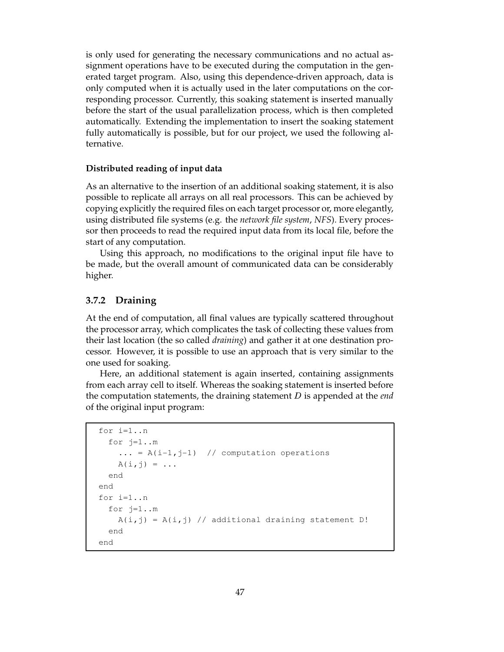is only used for generating the necessary communications and no actual assignment operations have to be executed during the computation in the generated target program. Also, using this dependence-driven approach, data is only computed when it is actually used in the later computations on the corresponding processor. Currently, this soaking statement is inserted manually before the start of the usual parallelization process, which is then completed automatically. Extending the implementation to insert the soaking statement fully automatically is possible, but for our project, we used the following alternative.

#### **Distributed reading of input data**

As an alternative to the insertion of an additional soaking statement, it is also possible to replicate all arrays on all real processors. This can be achieved by copying explicitly the required files on each target processor or, more elegantly, using distributed file systems (e.g. the *network file system*, *NFS*). Every processor then proceeds to read the required input data from its local file, before the start of any computation.

Using this approach, no modifications to the original input file have to be made, but the overall amount of communicated data can be considerably higher.

#### **3.7.2 Draining**

At the end of computation, all final values are typically scattered throughout the processor array, which complicates the task of collecting these values from their last location (the so called *draining*) and gather it at one destination processor. However, it is possible to use an approach that is very similar to the one used for soaking.

Here, an additional statement is again inserted, containing assignments from each array cell to itself. Whereas the soaking statement is inserted before the computation statements, the draining statement  $D$  is appended at the *end* of the original input program:

```
for i=1..n
 for j=1..m
    \ldots = A(i-1,j-1) // computation operations
    A(i,j) = ...end
end
for i=1..n
  for j=1..mA(i,j) = A(i,j) // additional draining statement D!
  end
end
```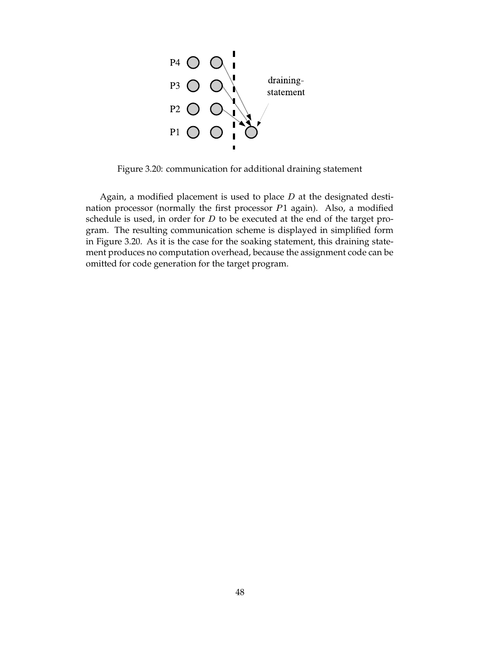

Figure 3.20: communication for additional draining statement

Again, a modified placement is used to place  $D$  at the designated destination processor (normally the first processor  $P1$  again). Also, a modified schedule is used, in order for  $D$  to be executed at the end of the target program. The resulting communication scheme is displayed in simplified form in Figure 3.20. As it is the case for the soaking statement, this draining statement produces no computation overhead, because the assignment code can be omitted for code generation for the target program.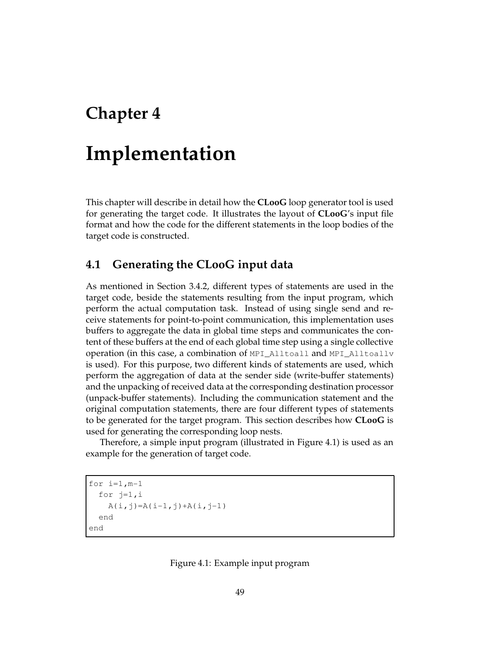## **Chapter 4**

# **Implementation**

This chapter will describe in detail how the **CLooG** loop generator tool is used for generating the target code. It illustrates the layout of **CLooG**'s input file format and how the code for the different statements in the loop bodies of the target code is constructed.

## **4.1 Generating the CLooG input data**

As mentioned in Section 3.4.2, different types of statements are used in the target code, beside the statements resulting from the input program, which perform the actual computation task. Instead of using single send and receive statements for point-to-point communication, this implementation uses buffers to aggregate the data in global time steps and communicates the content of these buffers at the end of each global time step using a single collective operation (in this case, a combination of MPI\_Alltoall and MPI\_Alltoallv is used). For this purpose, two different kinds of statements are used, which perform the aggregation of data at the sender side (write-buffer statements) and the unpacking of received data at the corresponding destination processor (unpack-buffer statements). Including the communication statement and the original computation statements, there are four different types of statements to be generated for the target program. This section describes how **CLooG** is used for generating the corresponding loop nests.

Therefore, a simple input program (illustrated in Figure 4.1) is used as an example for the generation of target code.

for  $i=1$ ,  $m-1$ for j=1,i  $A(i,j)=A(i-1,j)+A(i,j-1)$ end end

Figure 4.1: Example input program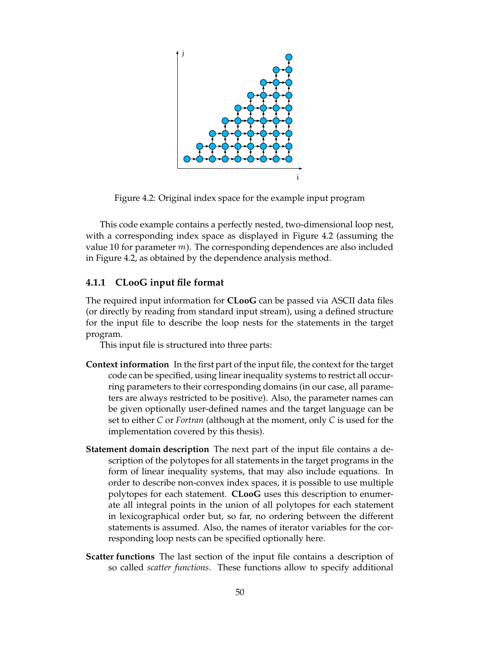

Figure 4.2: Original index space for the example input program

This code example contains a perfectly nested, two-dimensional loop nest, with a corresponding index space as displayed in Figure 4.2 (assuming the value 10 for parameter  $m$ ). The corresponding dependences are also included in Figure 4.2, as obtained by the dependence analysis method.

#### **4.1.1 CLooG input file format**

The required input information for **CLooG** can be passed via ASCII data files (or directly by reading from standard input stream), using a defined structure for the input file to describe the loop nests for the statements in the target program.

This input file is structured into three parts:

- **Context information** In the first part of the input file, the context for the target code can be specified, using linear inequality systems to restrict all occurring parameters to their corresponding domains (in our case, all parameters are always restricted to be positive). Also, the parameter names can be given optionally user-defined names and the target language can be set to either *C* or *Fortran* (although at the moment, only *C* is used for the implementation covered by this thesis).
- **Statement domain description** The next part of the input file contains a description of the polytopes for all statements in the target programs in the form of linear inequality systems, that may also include equations. In order to describe non-convex index spaces, it is possible to use multiple polytopes for each statement. **CLooG** uses this description to enumerate all integral points in the union of all polytopes for each statement in lexicographical order but, so far, no ordering between the different statements is assumed. Also, the names of iterator variables for the corresponding loop nests can be specified optionally here.
- **Scatter functions** The last section of the input file contains a description of so called *scatter functions*. These functions allow to specify additional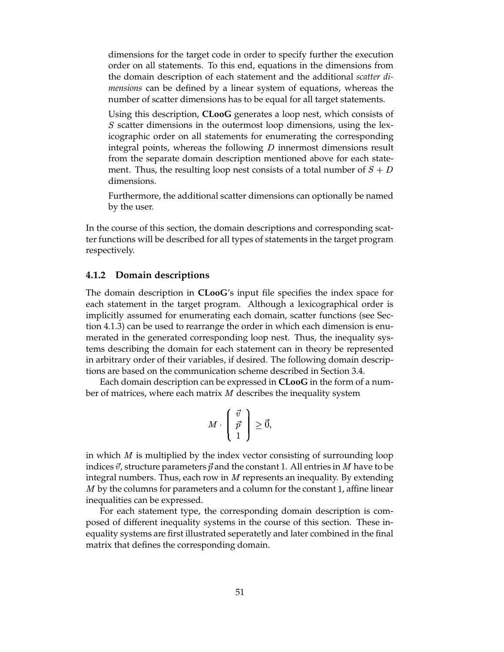dimensions for the target code in order to specify further the execution order on all statements. To this end, equations in the dimensions from the domain description of each statement and the additional *scatter dimensions* can be defined by a linear system of equations, whereas the number of scatter dimensions has to be equal for all target statements.

Using this description, **CLooG** generates a loop nest, which consists of  $S$  scatter dimensions in the outermost loop dimensions, using the lexicographic order on all statements for enumerating the corresponding integral points, whereas the following  $D$  innermost dimensions result from the separate domain description mentioned above for each statement. Thus, the resulting loop nest consists of a total number of  $S + D$ dimensions.

Furthermore, the additional scatter dimensions can optionally be named by the user.

In the course of this section, the domain descriptions and corresponding scatter functions will be described for all types of statements in the target program respectively.

#### **4.1.2 Domain descriptions**

The domain description in **CLooG**'s input file specifies the index space for each statement in the target program. Although a lexicographical order is implicitly assumed for enumerating each domain, scatter functions (see Section 4.1.3) can be used to rearrange the order in which each dimension is enumerated in the generated corresponding loop nest. Thus, the inequality systems describing the domain for each statement can in theory be represented in arbitrary order of their variables, if desired. The following domain descriptions are based on the communication scheme described in Section 3.4.

Each domain description can be expressed in **CLooG** in the form of a number of matrices, where each matrix  $M$  describes the inequality system

$$
M\cdot\left(\begin{array}{c}\vec{v}\\ \vec{p}\\ 1\end{array}\right)\geq \vec{0},
$$

in which  $M$  is multiplied by the index vector consisting of surrounding loop indices  $\vec{v}$ , structure parameters  $\vec{p}$  and the constant 1. All entries in  $M$  have to be integral numbers. Thus, each row in  $M$  represents an inequality. By extending  $M$  by the columns for parameters and a column for the constant 1, affine linear inequalities can be expressed.

For each statement type, the corresponding domain description is composed of different inequality systems in the course of this section. These inequality systems are first illustrated seperatetly and later combined in the final matrix that defines the corresponding domain.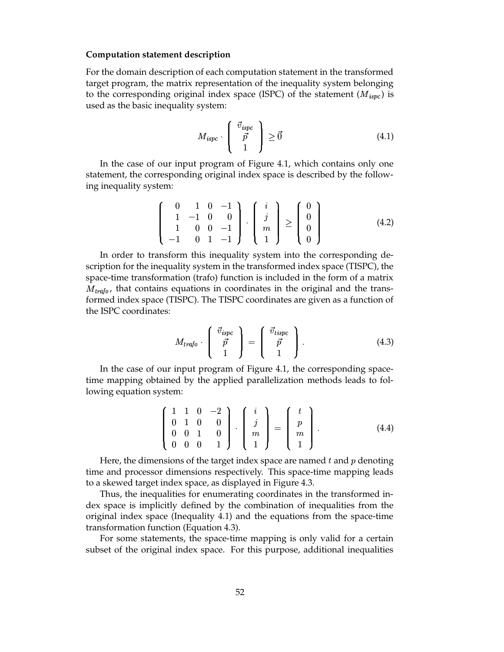#### **Computation statement description**

For the domain description of each computation statement in the transformed target program, the matrix representation of the inequality system belonging to the corresponding original index space (ISPC) of the statement  $(M_{ispc})$  is used as the basic inequality system:

$$
M_{ispc} \cdot \left( \begin{array}{c} \vec{v}_{ispc} \\ \vec{p} \\ 1 \end{array} \right) \ge \vec{0} \tag{4.1}
$$

In the case of our input program of Figure 4.1, which contains only one statement, the corresponding original index space is described by the following inequality system:

$$
\left(\begin{array}{rrr} 0 & 1 & 0 & -1 \\ 1 & -1 & 0 & 0 \\ 1 & 0 & 0 & -1 \\ -1 & 0 & 1 & -1 \end{array}\right) \cdot \left(\begin{array}{c} i \\ j \\ m \\ 1 \end{array}\right) \ge \left(\begin{array}{c} 0 \\ 0 \\ 0 \\ 0 \end{array}\right) \tag{4.2}
$$

In order to transform this inequality system into the corresponding description for the inequality system in the transformed index space (TISPC), the space-time transformation (trafo) function is included in the form of a matrix  $M_{trap}$ , that contains equations in coordinates in the original and the transformed index space (TISPC). The TISPC coordinates are given as a function of the ISPC coordinates:

$$
M_{trafo} \cdot \left( \begin{array}{c} \vec{v}_{ispc} \\ \vec{p} \\ 1 \end{array} \right) = \left( \begin{array}{c} \vec{v}_{tispc} \\ \vec{p} \\ 1 \end{array} \right). \tag{4.3}
$$

In the case of our input program of Figure 4.1, the corresponding spacetime mapping obtained by the applied parallelization methods leads to following equation system:

$$
\left(\begin{array}{rrr} 1 & 1 & 0 & -2 \\ 0 & 1 & 0 & 0 \\ 0 & 0 & 1 & 0 \\ 0 & 0 & 0 & 1 \end{array}\right) \cdot \left(\begin{array}{c} i \\ j \\ m \\ 1 \end{array}\right) = \left(\begin{array}{c} t \\ p \\ m \\ 1 \end{array}\right).
$$
 (4.4)

Here, the dimensions of the target index space are named  $t$  and  $p$  denoting time and processor dimensions respectively. This space-time mapping leads to a skewed target index space, as displayed in Figure 4.3.

Thus, the inequalities for enumerating coordinates in the transformed index space is implicitly defined by the combination of inequalities from the original index space (Inequality 4.1) and the equations from the space-time transformation function (Equation 4.3).

For some statements, the space-time mapping is only valid for a certain subset of the original index space. For this purpose, additional inequalities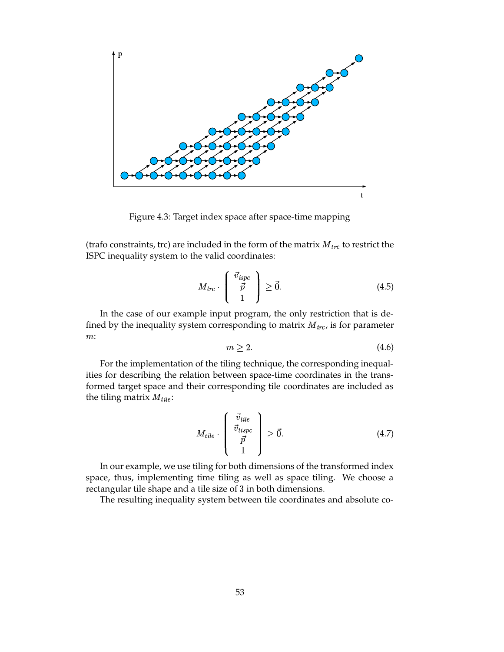

Figure 4.3: Target index space after space-time mapping

(trafo constraints, trc) are included in the form of the matrix  $M_{trc}$  to restrict the ISPC inequality system to the valid coordinates:

$$
M_{trc} \cdot \begin{pmatrix} \vec{v}_{ispc} \\ \vec{p} \\ 1 \end{pmatrix} \geq \vec{0}.\tag{4.5}
$$

In the case of our example input program, the only restriction that is defined by the inequality system corresponding to matrix  $M_{trc}$ , is for parameter  $m$ :

$$
m \ge 2. \tag{4.6}
$$

For the implementation of the tiling technique, the corresponding inequalities for describing the relation between space-time coordinates in the transformed target space and their corresponding tile coordinates are included as the tiling matrix  $M_{tile}$ :

$$
M_{tile} \cdot \begin{pmatrix} \vec{v}_{tile} \\ \vec{v}_{tispc} \\ \vec{p} \\ 1 \end{pmatrix} \ge \vec{0}.\tag{4.7}
$$

In our example, we use tiling for both dimensions of the transformed index space, thus, implementing time tiling as well as space tiling. We choose a rectangular tile shape and a tile size of 3 in both dimensions.

The resulting inequality system between tile coordinates and absolute co-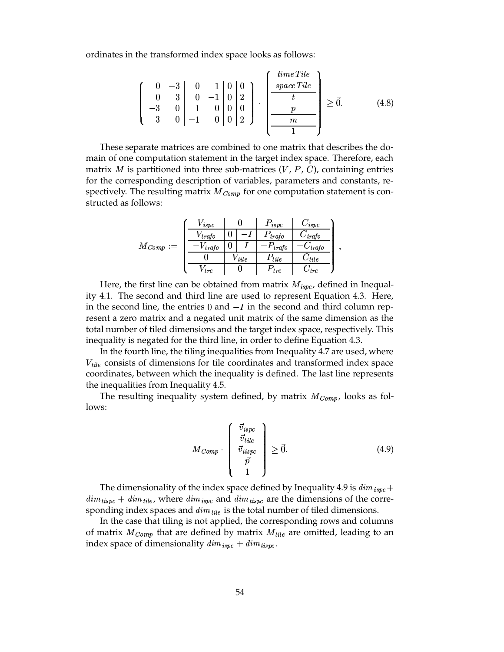ordinates in the transformed index space looks as follows:

 ; : Z ; ; ; ; <sup>Z</sup> ; : ; : Z ; ; ; ; Z ; : ; ; j ) (E 2\_E UbW;C (4.8)

These separate matrices are combined to one matrix that describes the domain of one computation statement in the target index space. Therefore, each matrix *M* is partitioned into three sub-matrices  $(V, P, C)$ , containing entries for the corresponding description of variables, parameters and constants, respectively. The resulting matrix  $M_{\text{Comp}}$  for one computation statement is constructed as follows:

|                       | $V_{ispc}$   |            | $P_{ispc}$   | $\cup_{ispc}$  |  |
|-----------------------|--------------|------------|--------------|----------------|--|
|                       | $V_{trafo}$  |            | $P_{trafo}$  | $C_{\it trap}$ |  |
| $M_{\mathit{Comp}}:=$ | $-V_{trafo}$ |            | $-P_{trafo}$ | $C_{trafo}$    |  |
|                       |              | $V_{tile}$ | $P_{tile}$   | $\cup$ tile    |  |
|                       | $V$ trc      |            | $P_{trc}$    | $\angle$ trc   |  |

Here, the first line can be obtained from matrix  $M_{ispc}$ , defined in Inequality 4.1. The second and third line are used to represent Equation 4.3. Here, in the second line, the entries  $0$  and  $-I$  in the second and third column represent a zero matrix and a negated unit matrix of the same dimension as the total number of tiled dimensions and the target index space, respectively. This inequality is negated for the third line, in order to define Equation 4.3.

In the fourth line, the tiling inequalities from Inequality 4.7 are used, where  $V_{tile}$  consists of dimensions for tile coordinates and transformed index space coordinates, between which the inequality is defined. The last line represents the inequalities from Inequality 4.5.

The resulting inequality system defined, by matrix  $M_{Comp}$ , looks as follows:

$$
M_{Comp} \cdot \begin{pmatrix} \vec{v}_{ispc} \\ \vec{v}_{tile} \\ \vec{v}_{tispc} \\ \vec{p} \\ 1 \end{pmatrix} \geq \vec{0}.
$$
 (4.9)

The dimensionality of the index space defined by Inequality 4.9 is  $dim_{\; ispc}+$  $dim_{\text{tispc}} + dim_{\text{tile}}$ , where  $dim_{\text{ispc}}$  and  $dim_{\text{tispc}}$  are the dimensions of the corresponding index spaces and  $dim_{tile}$  is the total number of tiled dimensions.

In the case that tiling is not applied, the corresponding rows and columns of matrix  $M_{Comp}$  that are defined by matrix  $M_{tile}$  are omitted, leading to an index space of dimensionality  $dim_{isoc} + dim_{tispc}$ .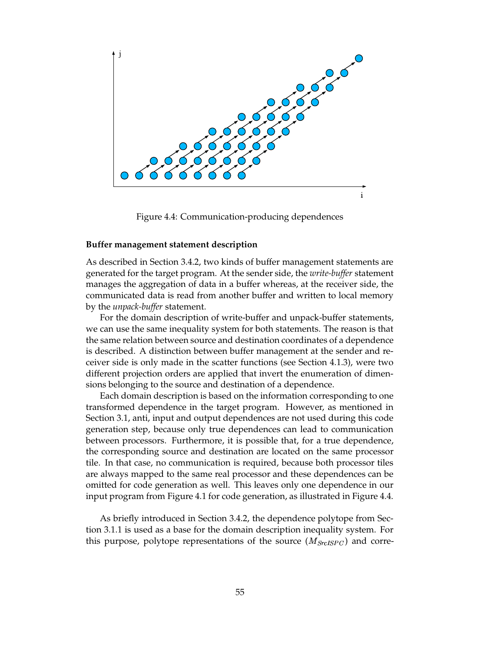

Figure 4.4: Communication-producing dependences

#### **Buffer management statement description**

As described in Section 3.4.2, two kinds of buffer management statements are generated for the target program. At the sender side, the *write-buffer* statement manages the aggregation of data in a buffer whereas, at the receiver side, the communicated data is read from another buffer and written to local memory by the *unpack-buffer* statement.

For the domain description of write-buffer and unpack-buffer statements, we can use the same inequality system for both statements. The reason is that the same relation between source and destination coordinates of a dependence is described. A distinction between buffer management at the sender and receiver side is only made in the scatter functions (see Section 4.1.3), were two different projection orders are applied that invert the enumeration of dimensions belonging to the source and destination of a dependence.

Each domain description is based on the information corresponding to one transformed dependence in the target program. However, as mentioned in Section 3.1, anti, input and output dependences are not used during this code generation step, because only true dependences can lead to communication between processors. Furthermore, it is possible that, for a true dependence, the corresponding source and destination are located on the same processor tile. In that case, no communication is required, because both processor tiles are always mapped to the same real processor and these dependences can be omitted for code generation as well. This leaves only one dependence in our input program from Figure 4.1 for code generation, as illustrated in Figure 4.4.

As briefly introduced in Section 3.4.2, the dependence polytope from Section 3.1.1 is used as a base for the domain description inequality system. For this purpose, polytope representations of the source  $(M_{SrcISPC})$  and corre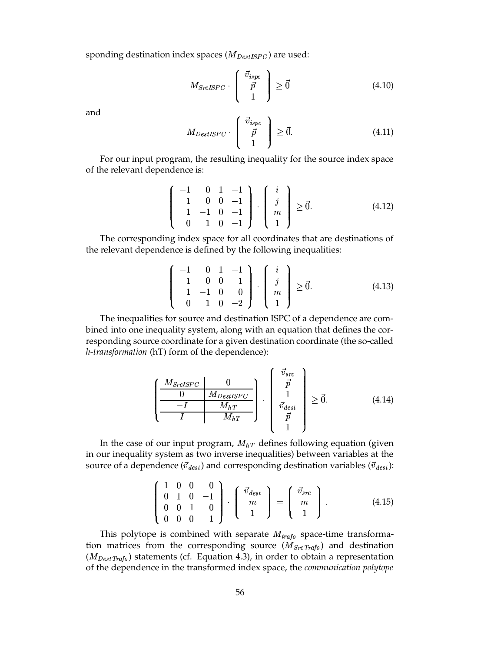sponding destination index spaces ( $M_{DestISPC}$ ) are used:

$$
M_{SrcISPC} \cdot \left( \begin{array}{c} \vec{v}_{ispc} \\ \vec{p} \\ 1 \end{array} \right) \ge \vec{0} \tag{4.10}
$$

and

$$
M_{DestISPC} \cdot \left( \begin{array}{c} \vec{v}_{ispc} \\ \vec{p} \\ 1 \end{array} \right) \ge \vec{0}.\tag{4.11}
$$

For our input program, the resulting inequality for the source index space of the relevant dependence is:

$$
\left[\begin{array}{rrr} -1 & 0 & 1 & -1 \\ 1 & 0 & 0 & -1 \\ 1 & -1 & 0 & -1 \\ 0 & 1 & 0 & -1 \end{array}\right] \cdot \left[\begin{array}{c} i \\ j \\ m \\ 1 \end{array}\right] \ge \vec{0}.\tag{4.12}
$$

The corresponding index space for all coordinates that are destinations of the relevant dependence is defined by the following inequalities:

$$
\left(\begin{array}{rrr} -1 & 0 & 1 & -1 \\ 1 & 0 & 0 & -1 \\ 1 & -1 & 0 & 0 \\ 0 & 1 & 0 & -2 \end{array}\right) \cdot \left(\begin{array}{c} i \\ j \\ m \\ 1 \end{array}\right) \geq \vec{0}.
$$
 (4.13)

The inequalities for source and destination ISPC of a dependence are combined into one inequality system, along with an equation that defines the corresponding source coordinate for a given destination coordinate (the so-called *h-transformation* (hT) form of the dependence):

$$
\left(\frac{\frac{M_{SrcISPC}}{0} \mid \frac{0}{M_{DestISPC}}}{I} \right) \cdot \left(\begin{array}{c} \vec{v}_{src} \\ \vec{p} \\ 1 \\ \vec{v}_{dest} \\ \vec{p} \\ 1 \end{array} \right) \ge \vec{0}. \tag{4.14}
$$

In the case of our input program,  $M_{hT}$  defines following equation (given in our inequality system as two inverse inequalities) between variables at the source of a dependence ( $\vec{v}_{dest}$ ) and corresponding destination variables ( $\vec{v}_{dest}$ ):

$$
\left(\begin{array}{rrr} 1 & 0 & 0 & 0 \\ 0 & 1 & 0 & -1 \\ 0 & 0 & 1 & 0 \\ 0 & 0 & 0 & 1 \end{array}\right) \cdot \left(\begin{array}{c} \vec{v}_{dest} \\ m \\ 1 \end{array}\right) = \left(\begin{array}{c} \vec{v}_{src} \\ m \\ 1 \end{array}\right). \tag{4.15}
$$

This polytope is combined with separate  $M_{trap}$  space-time transformation matrices from the corresponding source  $(M_{SrcTrafo})$  and destination  $(M_{DestTrafo})$  statements (cf. Equation 4.3), in order to obtain a representation of the dependence in the transformed index space, the *communication polytope*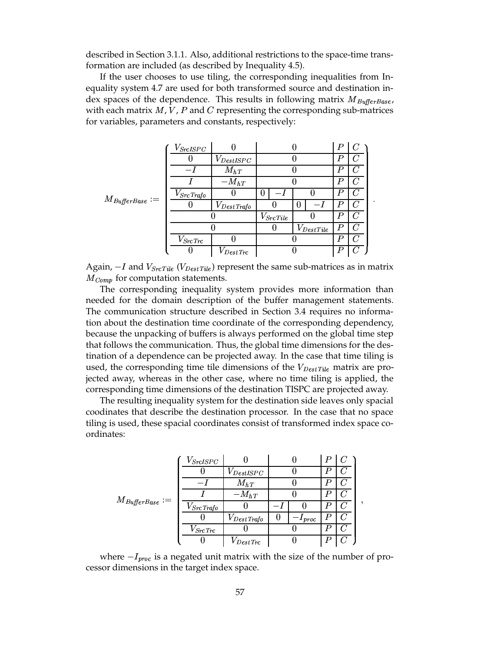described in Section 3.1.1. Also, additional restrictions to the space-time transformation are included (as described by Inequality 4.5).

If the user chooses to use tiling, the corresponding inequalities from Inequality system 4.7 are used for both transformed source and destination index spaces of the dependence. This results in following matrix  $M_{\text{BufferBase}}$ , with each matrix  $M$ ,  $V$ ,  $P$  and  $C$  representing the corresponding sub-matrices for variables, parameters and constants, respectively:

| $M_{\mathit{BufferBase}} :=$ | $V_{SrcISPC}$     |                        |                 |                  | $\boldsymbol{P}$ |         |   |
|------------------------------|-------------------|------------------------|-----------------|------------------|------------------|---------|---|
|                              |                   | $V_{DestISPC}$         |                 |                  | P                |         |   |
|                              |                   | $M_{hT}$               |                 |                  | P                |         |   |
|                              |                   | $-M_{hT}$              |                 |                  | P                | $\iota$ |   |
|                              | $V_{Src\, Trafo}$ |                        | 0               |                  | $\boldsymbol{P}$ | C       |   |
|                              |                   | $V_{Dest\, Trafo}$     |                 | 0                | $\boldsymbol{P}$ | C       | ٠ |
|                              |                   |                        | $V_{Src\,Tile}$ |                  | P                |         |   |
|                              |                   |                        | U               | $V_{Dest\,Tile}$ | $\boldsymbol{P}$ |         |   |
|                              | $V_{SrcTrc}$      |                        |                 |                  | Р                |         |   |
|                              |                   | $V_{\textit{DestTrc}}$ |                 |                  | Ρ                |         |   |

Again,  $-I$  and  $V_{SrcTile}$  ( $V_{DestTile}$ ) represent the same sub-matrices as in matrix  $M_{Comp}$  for computation statements.

The corresponding inequality system provides more information than needed for the domain description of the buffer management statements. The communication structure described in Section 3.4 requires no information about the destination time coordinate of the corresponding dependency, because the unpacking of buffers is always performed on the global time step that follows the communication. Thus, the global time dimensions for the destination of a dependence can be projected away. In the case that time tiling is used, the corresponding time tile dimensions of the  $V_{\text{DestTile}}$  matrix are projected away, whereas in the other case, where no time tiling is applied, the corresponding time dimensions of the destination TISPC are projected away.

The resulting inequality system for the destination side leaves only spacial coodinates that describe the destination processor. In the case that no space tiling is used, these spacial coordinates consist of transformed index space coordinates:

|                                                                                                                                                                      | $V_{SrcISPC}$     |                    |          |           |  |
|----------------------------------------------------------------------------------------------------------------------------------------------------------------------|-------------------|--------------------|----------|-----------|--|
|                                                                                                                                                                      |                   | $V_{DestISPC}$     |          |           |  |
|                                                                                                                                                                      |                   | $M_{hT}$           |          |           |  |
|                                                                                                                                                                      |                   | $-M_{hT}$          |          |           |  |
| $M_{BufferBase} := % \begin{cases} f(x) & \text{if } 0 \leq x \leq 1, \ \frac{f(x)}{2} & \text{if } 0 \leq x \leq 2. \end{cases} % \end{cases} % \label{eq:optimal}$ | $V_{Src\, Trafo}$ |                    |          |           |  |
|                                                                                                                                                                      |                   | $V_{Dest\, Trafo}$ | $\bf{0}$ | $-1$ proc |  |
|                                                                                                                                                                      | $V_{Src \, Trc}$  |                    |          |           |  |
|                                                                                                                                                                      |                   | $V_{DestTrc}$      |          |           |  |

where  $-I_{proc}$  is a negated unit matrix with the size of the number of processor dimensions in the target index space.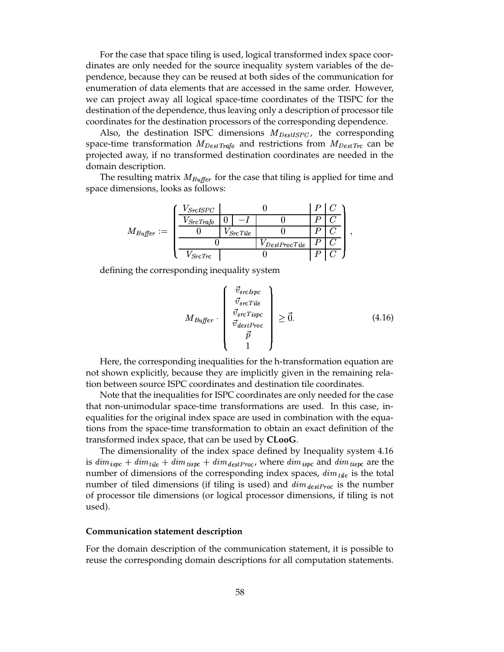For the case that space tiling is used, logical transformed index space coordinates are only needed for the source inequality system variables of the dependence, because they can be reused at both sides of the communication for enumeration of data elements that are accessed in the same order. However, we can project away all logical space-time coordinates of the TISPC for the destination of the dependence, thus leaving only a description of processor tile coordinates for the destination processors of the corresponding dependence.

Also, the destination ISPC dimensions  $M_{DestISPC}$ , the corresponding space-time transformation  $M_{DestTrafo}$  and restrictions from  $M_{DestTre}$  can be projected away, if no transformed destination coordinates are needed in the domain description.

The resulting matrix  $M_{\text{Buffer}}$  for the case that tiling is applied for time and space dimensions, looks as follows:

|                 | $V_{SrcISPC}$     |                  |                    |  |  |  |
|-----------------|-------------------|------------------|--------------------|--|--|--|
| $M_{Buffer} :=$ | $V_{Src}$ Trafo   | $\bf{0}$         |                    |  |  |  |
|                 |                   | $\sqrt{SrcTile}$ |                    |  |  |  |
|                 |                   |                  | $V$ Dest Proc Tile |  |  |  |
|                 | $^\prime$ Src Trc |                  |                    |  |  |  |

defining the corresponding inequality system

$$
M_{Buffer} \cdot \begin{pmatrix} \vec{v}_{srcIspc} \\ \vec{v}_{srcTile} \\ \vec{v}_{srcTispc} \\ \vec{v}_{destProc} \\ \vec{p} \\ 1 \end{pmatrix} \ge \vec{0}. \tag{4.16}
$$

Here, the corresponding inequalities for the h-transformation equation are not shown explicitly, because they are implicitly given in the remaining relation between source ISPC coordinates and destination tile coordinates.

Note that the inequalities for ISPC coordinates are only needed for the case that non-unimodular space-time transformations are used. In this case, inequalities for the original index space are used in combination with the equations from the space-time transformation to obtain an exact definition of the transformed index space, that can be used by **CLooG**.

The dimensionality of the index space defined by Inequality system 4.16 is  $dim_{\text{ispc}} + dim_{\text{tile}} + dim_{\text{tispc}} + dim_{\text{destProc}}$ , where  $dim_{\text{ispc}}$  and  $dim_{\text{tispc}}$  are the number of dimensions of the corresponding index spaces,  $dim_{tile}$  is the total number of tiled dimensions (if tiling is used) and  $\dim_{destProc}$  is the number of processor tile dimensions (or logical processor dimensions, if tiling is not used).

#### **Communication statement description**

For the domain description of the communication statement, it is possible to reuse the corresponding domain descriptions for all computation statements.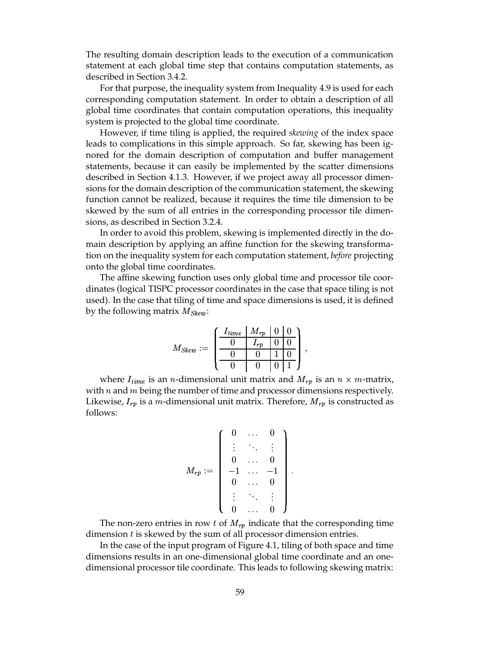The resulting domain description leads to the execution of a communication statement at each global time step that contains computation statements, as described in Section 3.4.2.

For that purpose, the inequality system from Inequality 4.9 is used for each corresponding computation statement. In order to obtain a description of all global time coordinates that contain computation operations, this inequality system is projected to the global time coordinate.

However, if time tiling is applied, the required *skewing* of the index space leads to complications in this simple approach. So far, skewing has been ignored for the domain description of computation and buffer management statements, because it can easily be implemented by the scatter dimensions described in Section 4.1.3. However, if we project away all processor dimensions for the domain description of the communication statement, the skewing function cannot be realized, because it requires the time tile dimension to be skewed by the sum of all entries in the corresponding processor tile dimensions, as described in Section 3.2.4.

In order to avoid this problem, skewing is implemented directly in the domain description by applying an affine function for the skewing transformation on the inequality system for each computation statement, *before* projecting onto the global time coordinates.

The affine skewing function uses only global time and processor tile coordinates (logical TISPC processor coordinates in the case that space tiling is not used). In the case that tiling of time and space dimensions is used, it is defined by the following matrix  $M_{Skew}$ :

$$
M_{Skew} := \left(\begin{array}{c|cc|c} I_{time} & M_{rp} & 0 & 0 \\ \hline 0 & I_{rp} & 0 & 0 \\ \hline 0 & 0 & 1 & 0 \\ \hline 0 & 0 & 0 & 1 \end{array}\right),
$$

where  $I_{time}$  is an *n*-dimensional unit matrix and  $M_{rp}$  is an  $n \times m$ -matrix, with  $n$  and  $m$  being the number of time and processor dimensions respectively. Likewise,  $I_{rp}$  is a m-dimensional unit matrix. Therefore,  $M_{rp}$  is constructed as follows:

$$
M_{rp}:=\left(\begin{array}{cccc} 0 & \ldots & 0 \\ \vdots & \ddots & \vdots \\ 0 & \ldots & 0 \\ -1 & \ldots & -1 \\ 0 & \ldots & 0 \\ \vdots & \ddots & \vdots \\ 0 & \ldots & 0 \end{array}\right).
$$

The non-zero entries in row t of  $M_{rp}$  indicate that the corresponding time dimension  $t$  is skewed by the sum of all processor dimension entries.

In the case of the input program of Figure 4.1, tiling of both space and time dimensions results in an one-dimensional global time coordinate and an onedimensional processor tile coordinate. This leads to following skewing matrix: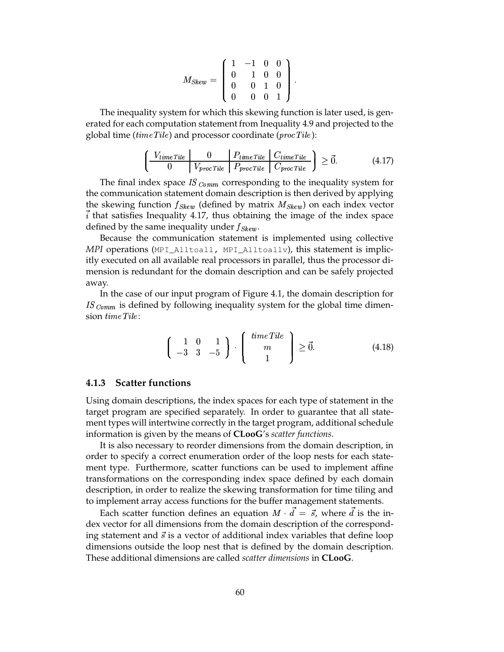$$
M_{Skew} = \left(\begin{array}{cccc} 1 & -1 & 0 & 0 \\ 0 & 1 & 0 & 0 \\ 0 & 0 & 1 & 0 \\ 0 & 0 & 0 & 1 \end{array}\right).
$$

The inequality system for which this skewing function is later used, is generated for each computation statement from Inequality 4.9 and projected to the global time ( $time$ *Tile*) and processor coordinate ( $proc$ *Tile*):

$$
\left(\begin{array}{c|c} V_{time\,Tile} & 0 & P_{time\,Tile} & C_{time\,Tile} \\ \hline 0 & V_{proc\,Tile} & P_{proc\,Tile} & C_{proc\,Tile} \end{array}\right) \geq \vec{0}.\tag{4.17}
$$

The final index space  $IS_{Comm}$  corresponding to the inequality system for the communication statement domain description is then derived by applying the skewing function  $f_{Skew}$  (defined by matrix  $M_{Skew}$ ) on each index vector  $\vec{i}$  that satisfies Inequality 4.17, thus obtaining the image of the index space defined by the same inequality under  $f_{Skew}$ .

Because the communication statement is implemented using collective *MPI* operations (MPI\_Alltoall, MPI\_Alltoallv), this statement is implicitly executed on all available real processors in parallel, thus the processor dimension is redundant for the domain description and can be safely projected away.

In the case of our input program of Figure 4.1, the domain description for  $IS_{Comm}$  is defined by following inequality system for the global time dimension time Tile:

$$
\left(\begin{array}{cc} 1 & 0 & 1 \\ -3 & 3 & -5 \end{array}\right) \cdot \left(\begin{array}{c} time\,Tile \\ m \\ 1 \end{array}\right) \geq \vec{0}.\tag{4.18}
$$

#### **4.1.3 Scatter functions**

Using domain descriptions, the index spaces for each type of statement in the target program are specified separately. In order to guarantee that all statement types will intertwine correctly in the target program, additional schedule information is given by the means of **CLooG**'s *scatter functions*.

It is also necessary to reorder dimensions from the domain description, in order to specify a correct enumeration order of the loop nests for each statement type. Furthermore, scatter functions can be used to implement affine transformations on the corresponding index space defined by each domain description, in order to realize the skewing transformation for time tiling and to implement array access functions for the buffer management statements.

Each scatter function defines an equation  $M \cdot d = \vec{s}$ , where d is the index vector for all dimensions from the domain description of the corresponding statement and  $\vec{s}$  is a vector of additional index variables that define loop dimensions outside the loop nest that is defined by the domain description. These additional dimensions are called *scatter dimensions* in **CLooG**.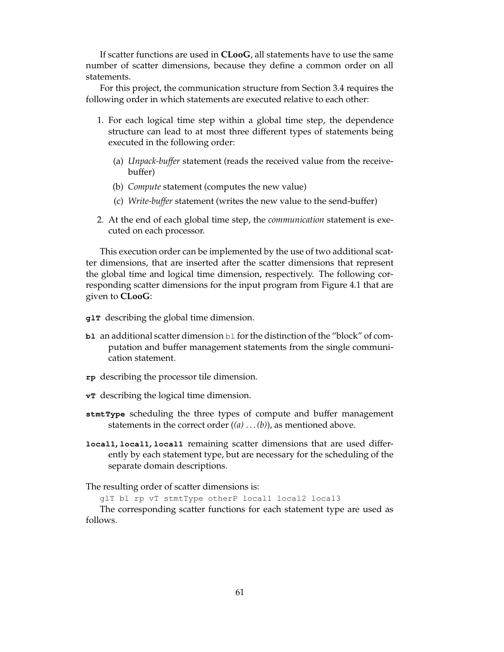If scatter functions are used in **CLooG**, all statements have to use the same number of scatter dimensions, because they define a common order on all statements.

For this project, the communication structure from Section 3.4 requires the following order in which statements are executed relative to each other:

- 1. For each logical time step within a global time step, the dependence structure can lead to at most three different types of statements being executed in the following order:
	- (a) *Unpack-buffer* statement (reads the received value from the receivebuffer)
	- (b) *Compute* statement (computes the new value)
	- (c) *Write-buffer* statement (writes the new value to the send-buffer)
- 2. At the end of each global time step, the *communication* statement is executed on each processor.

This execution order can be implemented by the use of two additional scatter dimensions, that are inserted after the scatter dimensions that represent the global time and logical time dimension, respectively. The following corresponding scatter dimensions for the input program from Figure 4.1 that are given to **CLooG**:

- **glT** describing the global time dimension.
- **bl** an additional scatter dimension **bl** for the distinction of the "block" of computation and buffer management statements from the single communication statement.
- **rp** describing the processor tile dimension.
- **vT** describing the logical time dimension.
- **stmtType** scheduling the three types of compute and buffer management statements in the correct order (*(a)* . . .*(b)*), as mentioned above.
- **local1, local1, local1** remaining scatter dimensions that are used differently by each statement type, but are necessary for the scheduling of the separate domain descriptions.

The resulting order of scatter dimensions is:

glT bl rp vT stmtType otherP local1 local2 local3

The corresponding scatter functions for each statement type are used as follows.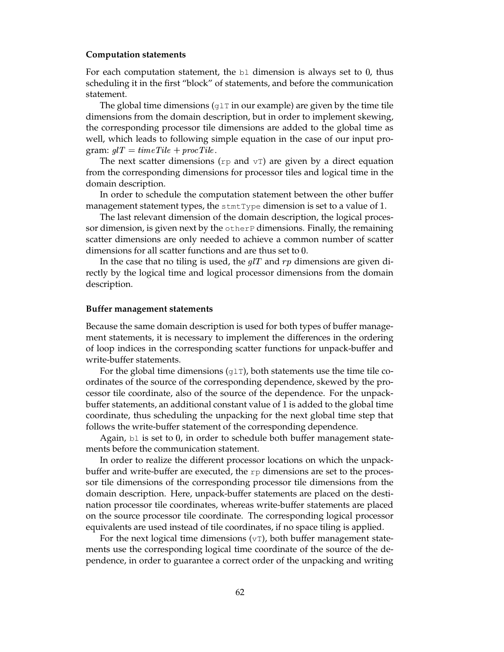#### **Computation statements**

For each computation statement, the  $b1$  dimension is always set to 0, thus scheduling it in the first "block" of statements, and before the communication statement.

The global time dimensions ( $g1T$  in our example) are given by the time tile dimensions from the domain description, but in order to implement skewing, the corresponding processor tile dimensions are added to the global time as well, which leads to following simple equation in the case of our input program:  $glT = time$  Tile + proc Tile.

The next scatter dimensions ( $rp$  and  $vT$ ) are given by a direct equation from the corresponding dimensions for processor tiles and logical time in the domain description.

In order to schedule the computation statement between the other buffer management statement types, the  ${\tt structtype}$  dimension is set to a value of 1.

The last relevant dimension of the domain description, the logical processor dimension, is given next by the otherP dimensions. Finally, the remaining scatter dimensions are only needed to achieve a common number of scatter dimensions for all scatter functions and are thus set to  $0$ .

In the case that no tiling is used, the  $g/T$  and  $rp$  dimensions are given directly by the logical time and logical processor dimensions from the domain description.

#### **Buffer management statements**

Because the same domain description is used for both types of buffer management statements, it is necessary to implement the differences in the ordering of loop indices in the corresponding scatter functions for unpack-buffer and write-buffer statements.

For the global time dimensions  $(g1T)$ , both statements use the time tile coordinates of the source of the corresponding dependence, skewed by the processor tile coordinate, also of the source of the dependence. For the unpackbuffer statements, an additional constant value of 1 is added to the global time coordinate, thus scheduling the unpacking for the next global time step that follows the write-buffer statement of the corresponding dependence.

Again,  $b1$  is set to 0, in order to schedule both buffer management statements before the communication statement.

In order to realize the different processor locations on which the unpackbuffer and write-buffer are executed, the  $rp$  dimensions are set to the processor tile dimensions of the corresponding processor tile dimensions from the domain description. Here, unpack-buffer statements are placed on the destination processor tile coordinates, whereas write-buffer statements are placed on the source processor tile coordinate. The corresponding logical processor equivalents are used instead of tile coordinates, if no space tiling is applied.

For the next logical time dimensions  $(v)$ , both buffer management statements use the corresponding logical time coordinate of the source of the dependence, in order to guarantee a correct order of the unpacking and writing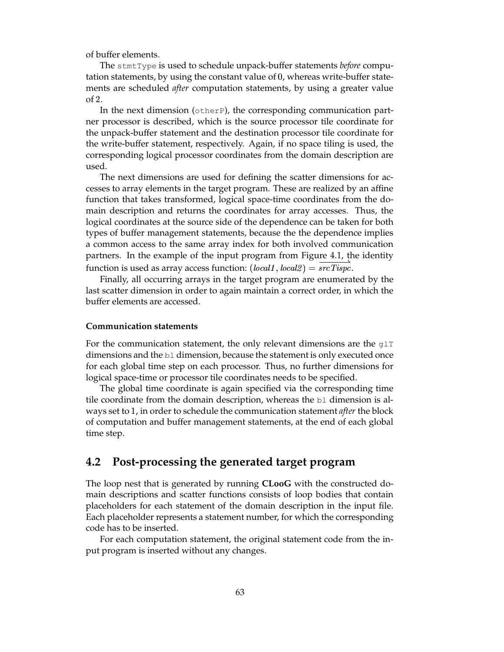of buffer elements.

The stmtType is used to schedule unpack-buffer statements *before* computation statements, by using the constant value of 0, whereas write-buffer statements are scheduled *after* computation statements, by using a greater value of 2.

In the next dimension ( $otherP$ ), the corresponding communication partner processor is described, which is the source processor tile coordinate for the unpack-buffer statement and the destination processor tile coordinate for the write-buffer statement, respectively. Again, if no space tiling is used, the corresponding logical processor coordinates from the domain description are used.

The next dimensions are used for defining the scatter dimensions for accesses to array elements in the target program. These are realized by an affine function that takes transformed, logical space-time coordinates from the domain description and returns the coordinates for array accesses. Thus, the logical coordinates at the source side of the dependence can be taken for both types of buffer management statements, because the the dependence implies a common access to the same array index for both involved communication partners. In the example of the input program from Figure 4.1, the identity function is used as array access function:  $(local1, local2) = srcTispc$ .

Finally, all occurring arrays in the target program are enumerated by the last scatter dimension in order to again maintain a correct order, in which the buffer elements are accessed.

#### **Communication statements**

For the communication statement, the only relevant dimensions are the  $g1T$ dimensions and the  $b\perp$  dimension, because the statement is only executed once for each global time step on each processor. Thus, no further dimensions for logical space-time or processor tile coordinates needs to be specified.

The global time coordinate is again specified via the corresponding time tile coordinate from the domain description, whereas the  $b1$  dimension is always set to 1, in order to schedule the communication statement *after* the block of computation and buffer management statements, at the end of each global time step.

## **4.2 Post-processing the generated target program**

The loop nest that is generated by running **CLooG** with the constructed domain descriptions and scatter functions consists of loop bodies that contain placeholders for each statement of the domain description in the input file. Each placeholder represents a statement number, for which the corresponding code has to be inserted.

For each computation statement, the original statement code from the input program is inserted without any changes.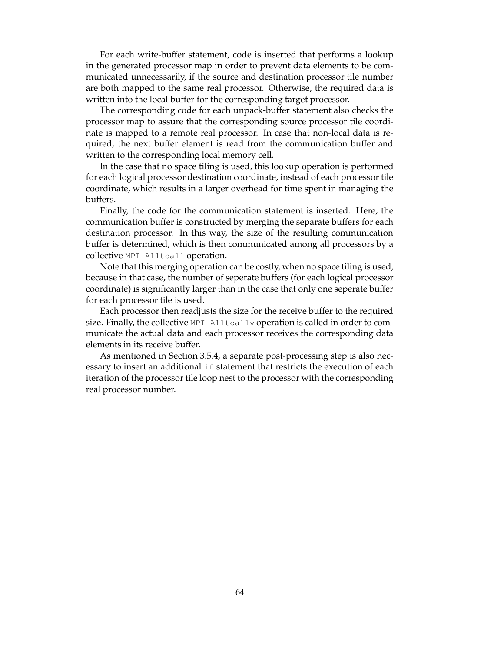For each write-buffer statement, code is inserted that performs a lookup in the generated processor map in order to prevent data elements to be communicated unnecessarily, if the source and destination processor tile number are both mapped to the same real processor. Otherwise, the required data is written into the local buffer for the corresponding target processor.

The corresponding code for each unpack-buffer statement also checks the processor map to assure that the corresponding source processor tile coordinate is mapped to a remote real processor. In case that non-local data is required, the next buffer element is read from the communication buffer and written to the corresponding local memory cell.

In the case that no space tiling is used, this lookup operation is performed for each logical processor destination coordinate, instead of each processor tile coordinate, which results in a larger overhead for time spent in managing the buffers.

Finally, the code for the communication statement is inserted. Here, the communication buffer is constructed by merging the separate buffers for each destination processor. In this way, the size of the resulting communication buffer is determined, which is then communicated among all processors by a collective MPI\_Alltoall operation.

Note that this merging operation can be costly, when no space tiling is used, because in that case, the number of seperate buffers (for each logical processor coordinate) is significantly larger than in the case that only one seperate buffer for each processor tile is used.

Each processor then readjusts the size for the receive buffer to the required size. Finally, the collective MPI\_Alltoallv operation is called in order to communicate the actual data and each processor receives the corresponding data elements in its receive buffer.

As mentioned in Section 3.5.4, a separate post-processing step is also necessary to insert an additional if statement that restricts the execution of each iteration of the processor tile loop nest to the processor with the corresponding real processor number.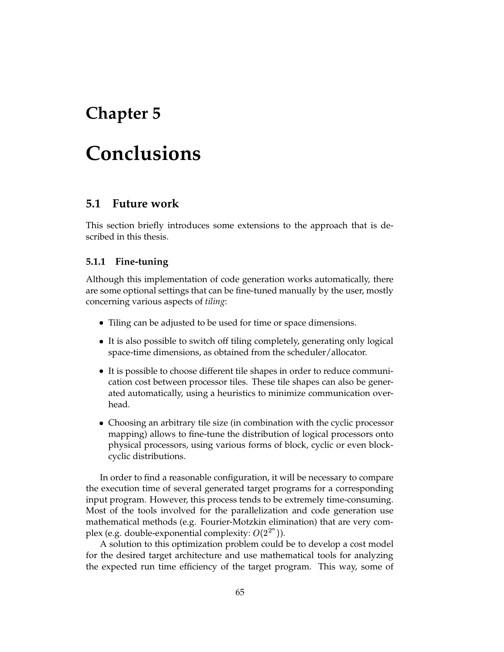## **Chapter 5**

# **Conclusions**

## **5.1 Future work**

This section briefly introduces some extensions to the approach that is described in this thesis.

#### **5.1.1 Fine-tuning**

Although this implementation of code generation works automatically, there are some optional settings that can be fine-tuned manually by the user, mostly concerning various aspects of *tiling*:

- Tiling can be adjusted to be used for time or space dimensions.
- It is also possible to switch off tiling completely, generating only logical space-time dimensions, as obtained from the scheduler/allocator.
- It is possible to choose different tile shapes in order to reduce communication cost between processor tiles. These tile shapes can also be generated automatically, using a heuristics to minimize communication overhead.
- Choosing an arbitrary tile size (in combination with the cyclic processor mapping) allows to fine-tune the distribution of logical processors onto physical processors, using various forms of block, cyclic or even blockcyclic distributions.

In order to find a reasonable configuration, it will be necessary to compare the execution time of several generated target programs for a corresponding input program. However, this process tends to be extremely time-consuming. Most of the tools involved for the parallelization and code generation use mathematical methods (e.g. Fourier-Motzkin elimination) that are very complex (e.g. double-exponential complexity:  $O(2^{2^n})$ ).

A solution to this optimization problem could be to develop a cost model for the desired target architecture and use mathematical tools for analyzing the expected run time efficiency of the target program. This way, some of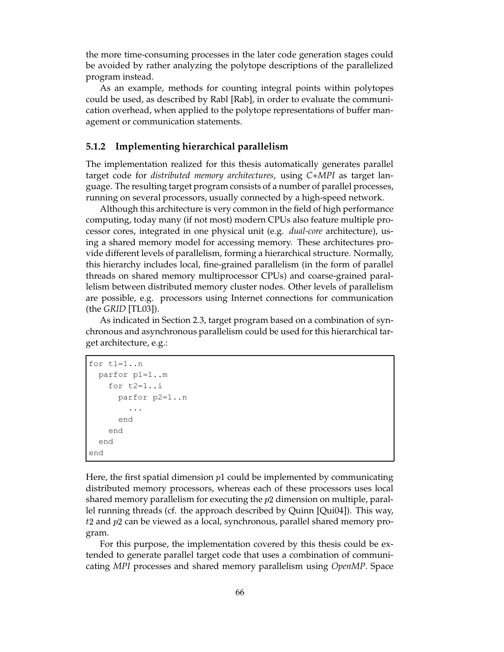the more time-consuming processes in the later code generation stages could be avoided by rather analyzing the polytope descriptions of the parallelized program instead.

As an example, methods for counting integral points within polytopes could be used, as described by Rabl [Rab], in order to evaluate the communication overhead, when applied to the polytope representations of buffer management or communication statements.

#### **5.1.2 Implementing hierarchical parallelism**

The implementation realized for this thesis automatically generates parallel target code for *distributed memory architectures*, using *C+MPI* as target language. The resulting target program consists of a number of parallel processes, running on several processors, usually connected by a high-speed network.

Although this architecture is very common in the field of high performance computing, today many (if not most) modern CPUs also feature multiple processor cores, integrated in one physical unit (e.g. *dual-core* architecture), using a shared memory model for accessing memory. These architectures provide different levels of parallelism, forming a hierarchical structure. Normally, this hierarchy includes local, fine-grained parallelism (in the form of parallel threads on shared memory multiprocessor CPUs) and coarse-grained parallelism between distributed memory cluster nodes. Other levels of parallelism are possible, e.g. processors using Internet connections for communication (the *GRID* [TL03]).

As indicated in Section 2.3, target program based on a combination of synchronous and asynchronous parallelism could be used for this hierarchical target architecture, e.g.:

```
for t1=1..n
  parfor p1=1..m
    for t2=1..i
      parfor p2=1..n
         ...
      end
    end
  end
end
```
Here, the first spatial dimension  $p1$  could be implemented by communicating distributed memory processors, whereas each of these processors uses local shared memory parallelism for executing the  $p2$  dimension on multiple, parallel running threads (cf. the approach described by Quinn [Qui04]). This way,  $t2$  and  $p2$  can be viewed as a local, synchronous, parallel shared memory program.

For this purpose, the implementation covered by this thesis could be extended to generate parallel target code that uses a combination of communicating *MPI* processes and shared memory parallelism using *OpenMP*. Space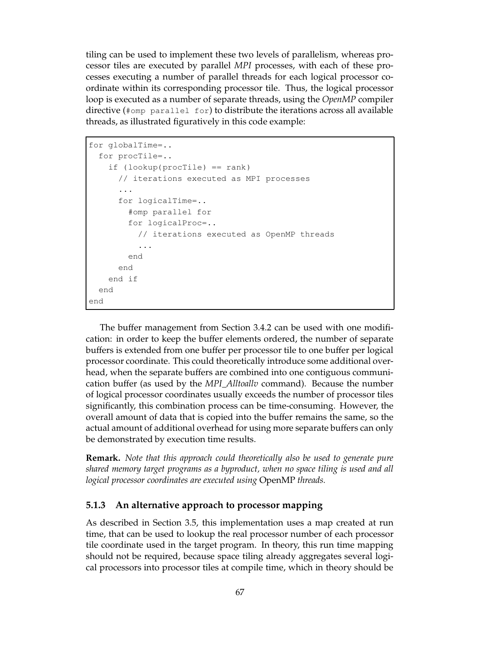tiling can be used to implement these two levels of parallelism, whereas processor tiles are executed by parallel *MPI* processes, with each of these processes executing a number of parallel threads for each logical processor coordinate within its corresponding processor tile. Thus, the logical processor loop is executed as a number of separate threads, using the *OpenMP* compiler directive (#omp parallel for) to distribute the iterations across all available threads, as illustrated figuratively in this code example:

```
for globalTime=..
 for procTile=..
   if (lookup(procTile) == rank)
      // iterations executed as MPI processes
      ...
      for logicalTime=..
        #omp parallel for
        for logicalProc=..
          // iterations executed as OpenMP threads
          ...
        end
      end
   end if
 end
end
```
The buffer management from Section 3.4.2 can be used with one modification: in order to keep the buffer elements ordered, the number of separate buffers is extended from one buffer per processor tile to one buffer per logical processor coordinate. This could theoretically introduce some additional overhead, when the separate buffers are combined into one contiguous communication buffer (as used by the *MPI\_Alltoallv* command). Because the number of logical processor coordinates usually exceeds the number of processor tiles significantly, this combination process can be time-consuming. However, the overall amount of data that is copied into the buffer remains the same, so the actual amount of additional overhead for using more separate buffers can only be demonstrated by execution time results.

**Remark.** *Note that this approach could theoretically also be used to generate pure shared memory target programs as a byproduct, when no space tiling is used and all logical processor coordinates are executed using* OpenMP *threads.*

#### **5.1.3 An alternative approach to processor mapping**

As described in Section 3.5, this implementation uses a map created at run time, that can be used to lookup the real processor number of each processor tile coordinate used in the target program. In theory, this run time mapping should not be required, because space tiling already aggregates several logical processors into processor tiles at compile time, which in theory should be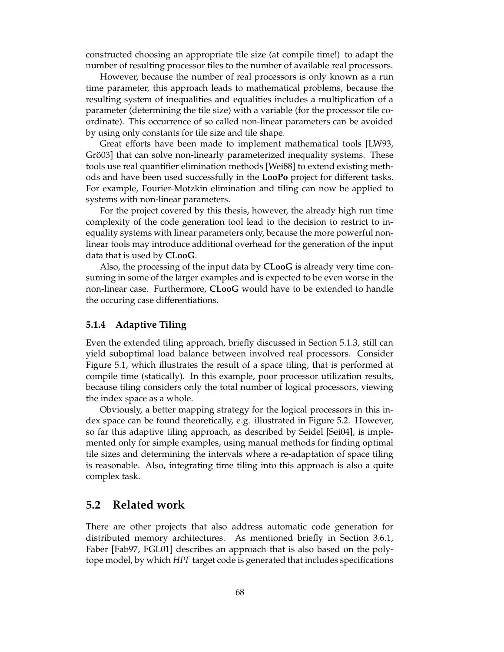constructed choosing an appropriate tile size (at compile time!) to adapt the number of resulting processor tiles to the number of available real processors.

However, because the number of real processors is only known as a run time parameter, this approach leads to mathematical problems, because the resulting system of inequalities and equalities includes a multiplication of a parameter (determining the tile size) with a variable (for the processor tile coordinate). This occurrence of so called non-linear parameters can be avoided by using only constants for tile size and tile shape.

Great efforts have been made to implement mathematical tools [LW93, Grö03] that can solve non-linearly parameterized inequality systems. These tools use real quantifier elimination methods [Wei88] to extend existing methods and have been used successfully in the **LooPo** project for different tasks. For example, Fourier-Motzkin elimination and tiling can now be applied to systems with non-linear parameters.

For the project covered by this thesis, however, the already high run time complexity of the code generation tool lead to the decision to restrict to inequality systems with linear parameters only, because the more powerful nonlinear tools may introduce additional overhead for the generation of the input data that is used by **CLooG**.

Also, the processing of the input data by **CLooG** is already very time consuming in some of the larger examples and is expected to be even worse in the non-linear case. Furthermore, **CLooG** would have to be extended to handle the occuring case differentiations.

#### **5.1.4 Adaptive Tiling**

Even the extended tiling approach, briefly discussed in Section 5.1.3, still can yield suboptimal load balance between involved real processors. Consider Figure 5.1, which illustrates the result of a space tiling, that is performed at compile time (statically). In this example, poor processor utilization results, because tiling considers only the total number of logical processors, viewing the index space as a whole.

Obviously, a better mapping strategy for the logical processors in this index space can be found theoretically, e.g. illustrated in Figure 5.2. However, so far this adaptive tiling approach, as described by Seidel [Sei04], is implemented only for simple examples, using manual methods for finding optimal tile sizes and determining the intervals where a re-adaptation of space tiling is reasonable. Also, integrating time tiling into this approach is also a quite complex task.

### **5.2 Related work**

There are other projects that also address automatic code generation for distributed memory architectures. As mentioned briefly in Section 3.6.1, Faber [Fab97, FGL01] describes an approach that is also based on the polytope model, by which *HPF* target code is generated that includes specifications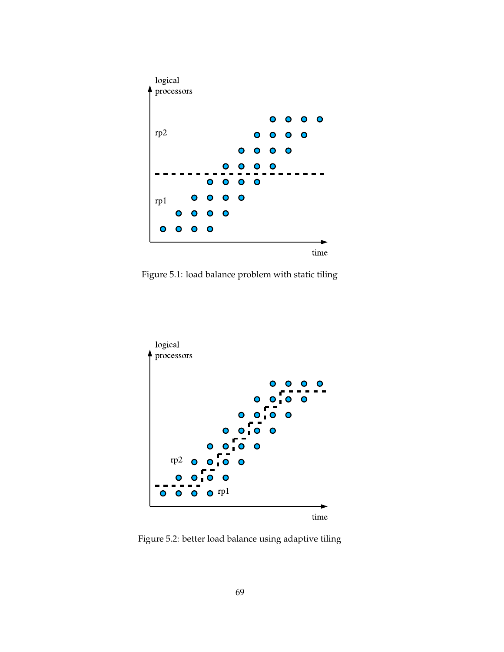

Figure 5.1: load balance problem with static tiling



Figure 5.2: better load balance using adaptive tiling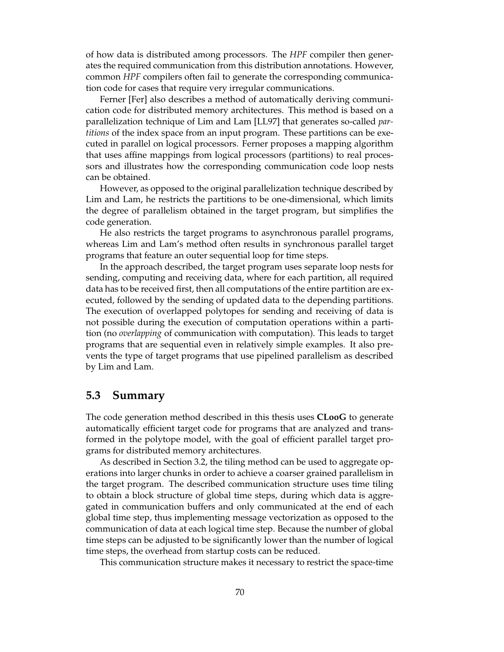of how data is distributed among processors. The *HPF* compiler then generates the required communication from this distribution annotations. However, common *HPF* compilers often fail to generate the corresponding communication code for cases that require very irregular communications.

Ferner [Fer] also describes a method of automatically deriving communication code for distributed memory architectures. This method is based on a parallelization technique of Lim and Lam [LL97] that generates so-called *partitions* of the index space from an input program. These partitions can be executed in parallel on logical processors. Ferner proposes a mapping algorithm that uses affine mappings from logical processors (partitions) to real processors and illustrates how the corresponding communication code loop nests can be obtained.

However, as opposed to the original parallelization technique described by Lim and Lam, he restricts the partitions to be one-dimensional, which limits the degree of parallelism obtained in the target program, but simplifies the code generation.

He also restricts the target programs to asynchronous parallel programs, whereas Lim and Lam's method often results in synchronous parallel target programs that feature an outer sequential loop for time steps.

In the approach described, the target program uses separate loop nests for sending, computing and receiving data, where for each partition, all required data has to be received first, then all computations of the entire partition are executed, followed by the sending of updated data to the depending partitions. The execution of overlapped polytopes for sending and receiving of data is not possible during the execution of computation operations within a partition (no *overlapping* of communication with computation). This leads to target programs that are sequential even in relatively simple examples. It also prevents the type of target programs that use pipelined parallelism as described by Lim and Lam.

### **5.3 Summary**

The code generation method described in this thesis uses **CLooG** to generate automatically efficient target code for programs that are analyzed and transformed in the polytope model, with the goal of efficient parallel target programs for distributed memory architectures.

As described in Section 3.2, the tiling method can be used to aggregate operations into larger chunks in order to achieve a coarser grained parallelism in the target program. The described communication structure uses time tiling to obtain a block structure of global time steps, during which data is aggregated in communication buffers and only communicated at the end of each global time step, thus implementing message vectorization as opposed to the communication of data at each logical time step. Because the number of global time steps can be adjusted to be significantly lower than the number of logical time steps, the overhead from startup costs can be reduced.

This communication structure makes it necessary to restrict the space-time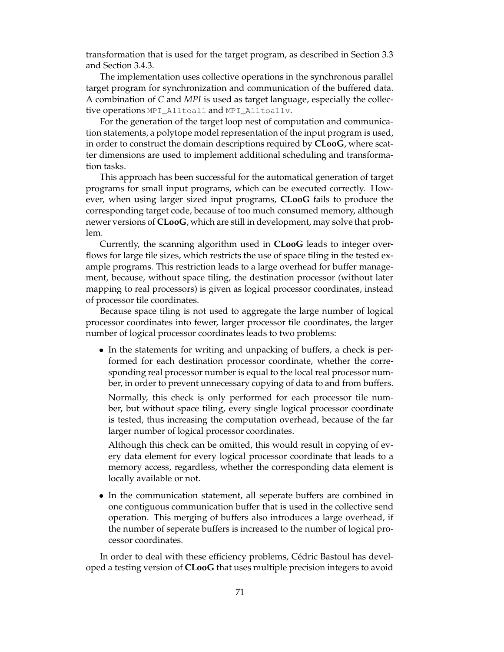transformation that is used for the target program, as described in Section 3.3 and Section 3.4.3.

The implementation uses collective operations in the synchronous parallel target program for synchronization and communication of the buffered data. A combination of *C* and *MPI* is used as target language, especially the collective operations MPI\_Alltoall and MPI\_Alltoallv.

For the generation of the target loop nest of computation and communication statements, a polytope model representation of the input program is used, in order to construct the domain descriptions required by **CLooG**, where scatter dimensions are used to implement additional scheduling and transformation tasks.

This approach has been successful for the automatical generation of target programs for small input programs, which can be executed correctly. However, when using larger sized input programs, **CLooG** fails to produce the corresponding target code, because of too much consumed memory, although newer versions of **CLooG**, which are still in development, may solve that problem.

Currently, the scanning algorithm used in **CLooG** leads to integer overflows for large tile sizes, which restricts the use of space tiling in the tested example programs. This restriction leads to a large overhead for buffer management, because, without space tiling, the destination processor (without later mapping to real processors) is given as logical processor coordinates, instead of processor tile coordinates.

Because space tiling is not used to aggregate the large number of logical processor coordinates into fewer, larger processor tile coordinates, the larger number of logical processor coordinates leads to two problems:

• In the statements for writing and unpacking of buffers, a check is performed for each destination processor coordinate, whether the corresponding real processor number is equal to the local real processor number, in order to prevent unnecessary copying of data to and from buffers.

Normally, this check is only performed for each processor tile number, but without space tiling, every single logical processor coordinate is tested, thus increasing the computation overhead, because of the far larger number of logical processor coordinates.

Although this check can be omitted, this would result in copying of every data element for every logical processor coordinate that leads to a memory access, regardless, whether the corresponding data element is locally available or not.

• In the communication statement, all seperate buffers are combined in one contiguous communication buffer that is used in the collective send operation. This merging of buffers also introduces a large overhead, if the number of seperate buffers is increased to the number of logical processor coordinates.

In order to deal with these efficiency problems, Cédric Bastoul has developed a testing version of **CLooG** that uses multiple precision integers to avoid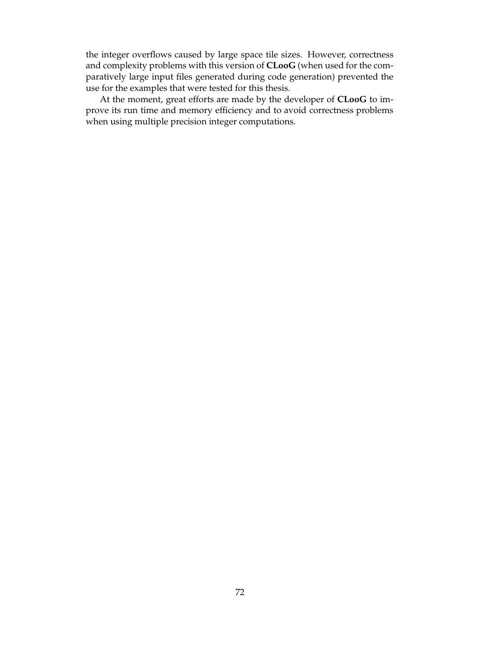the integer overflows caused by large space tile sizes. However, correctness and complexity problems with this version of **CLooG** (when used for the comparatively large input files generated during code generation) prevented the use for the examples that were tested for this thesis.

At the moment, great efforts are made by the developer of **CLooG** to improve its run time and memory efficiency and to avoid correctness problems when using multiple precision integer computations.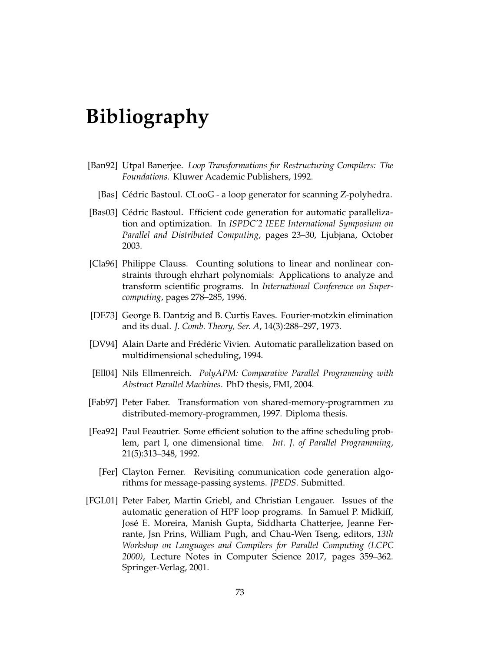## **Bibliography**

- [Ban92] Utpal Banerjee. *Loop Transformations for Restructuring Compilers: The Foundations.* Kluwer Academic Publishers, 1992.
	- [Bas] Cédric Bastoul. CLooG a loop generator for scanning Z-polyhedra.
- [Bas03] Cédric Bastoul. Efficient code generation for automatic parallelization and optimization. In *ISPDC'2 IEEE International Symposium on Parallel and Distributed Computing*, pages 23–30, Ljubjana, October 2003.
- [Cla96] Philippe Clauss. Counting solutions to linear and nonlinear constraints through ehrhart polynomials: Applications to analyze and transform scientific programs. In *International Conference on Supercomputing*, pages 278–285, 1996.
- [DE73] George B. Dantzig and B. Curtis Eaves. Fourier-motzkin elimination and its dual. *J. Comb. Theory, Ser. A*, 14(3):288–297, 1973.
- [DV94] Alain Darte and Frédéric Vivien. Automatic parallelization based on multidimensional scheduling, 1994.
- [Ell04] Nils Ellmenreich. *PolyAPM: Comparative Parallel Programming with Abstract Parallel Machines*. PhD thesis, FMI, 2004.
- [Fab97] Peter Faber. Transformation von shared-memory-programmen zu distributed-memory-programmen, 1997. Diploma thesis.
- [Fea92] Paul Feautrier. Some efficient solution to the affine scheduling problem, part I, one dimensional time. *Int. J. of Parallel Programming*, 21(5):313–348, 1992.
	- [Fer] Clayton Ferner. Revisiting communication code generation algorithms for message-passing systems. *JPEDS*. Submitted.
- [FGL01] Peter Faber, Martin Griebl, and Christian Lengauer. Issues of the automatic generation of HPF loop programs. In Samuel P. Midkiff, José E. Moreira, Manish Gupta, Siddharta Chatterjee, Jeanne Ferrante, Jsn Prins, William Pugh, and Chau-Wen Tseng, editors, *13th Workshop on Languages and Compilers for Parallel Computing (LCPC 2000)*, Lecture Notes in Computer Science 2017, pages 359–362. Springer-Verlag, 2001.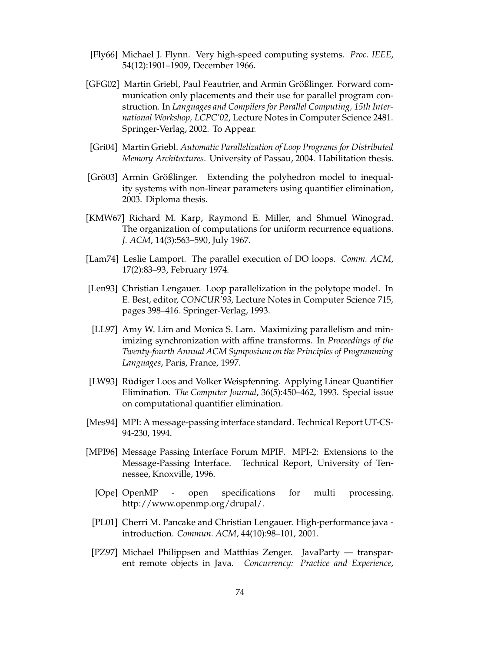- [Fly66] Michael J. Flynn. Very high-speed computing systems. *Proc. IEEE*, 54(12):1901–1909, December 1966.
- [GFG02] Martin Griebl, Paul Feautrier, and Armin Größlinger. Forward communication only placements and their use for parallel program construction. In *Languages and Compilers for Parallel Computing, 15th International Workshop, LCPC'02*, Lecture Notes in Computer Science 2481. Springer-Verlag, 2002. To Appear.
- [Gri04] Martin Griebl. *Automatic Parallelization of Loop Programs for Distributed Memory Architectures*. University of Passau, 2004. Habilitation thesis.
- [Grö03] Armin Größlinger. Extending the polyhedron model to inequality systems with non-linear parameters using quantifier elimination, 2003. Diploma thesis.
- [KMW67] Richard M. Karp, Raymond E. Miller, and Shmuel Winograd. The organization of computations for uniform recurrence equations. *J. ACM*, 14(3):563–590, July 1967.
- [Lam74] Leslie Lamport. The parallel execution of DO loops. *Comm. ACM*, 17(2):83–93, February 1974.
- [Len93] Christian Lengauer. Loop parallelization in the polytope model. In E. Best, editor, *CONCUR'93*, Lecture Notes in Computer Science 715, pages 398–416. Springer-Verlag, 1993.
- [LL97] Amy W. Lim and Monica S. Lam. Maximizing parallelism and minimizing synchronization with affine transforms. In *Proceedings of the Twenty-fourth Annual ACM Symposium on the Principles of Programming Languages*, Paris, France, 1997.
- [LW93] Rüdiger Loos and Volker Weispfenning. Applying Linear Quantifier Elimination. *The Computer Journal*, 36(5):450–462, 1993. Special issue on computational quantifier elimination.
- [Mes94] MPI: A message-passing interface standard. Technical Report UT-CS-94-230, 1994.
- [MPI96] Message Passing Interface Forum MPIF. MPI-2: Extensions to the Message-Passing Interface. Technical Report, University of Tennessee, Knoxville, 1996.
	- [Ope] OpenMP open specifications for multi processing. http://www.openmp.org/drupal/.
- [PL01] Cherri M. Pancake and Christian Lengauer. High-performance java introduction. *Commun. ACM*, 44(10):98–101, 2001.
- [PZ97] Michael Philippsen and Matthias Zenger. JavaParty transparent remote objects in Java. *Concurrency: Practice and Experience*,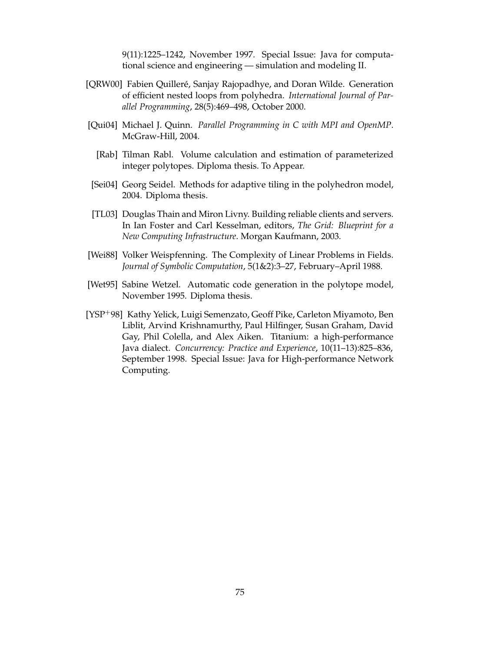9(11):1225–1242, November 1997. Special Issue: Java for computational science and engineering — simulation and modeling II.

- [QRW00] Fabien Quilleré, Sanjay Rajopadhye, and Doran Wilde. Generation of efficient nested loops from polyhedra. *International Journal of Parallel Programming*, 28(5):469–498, October 2000.
- [Qui04] Michael J. Quinn. *Parallel Programming in C with MPI and OpenMP*. McGraw-Hill, 2004.
	- [Rab] Tilman Rabl. Volume calculation and estimation of parameterized integer polytopes. Diploma thesis. To Appear.
- [Sei04] Georg Seidel. Methods for adaptive tiling in the polyhedron model, 2004. Diploma thesis.
- [TL03] Douglas Thain and Miron Livny. Building reliable clients and servers. In Ian Foster and Carl Kesselman, editors, *The Grid: Blueprint for a New Computing Infrastructure*. Morgan Kaufmann, 2003.
- [Wei88] Volker Weispfenning. The Complexity of Linear Problems in Fields. *Journal of Symbolic Computation*, 5(1&2):3–27, February–April 1988.
- [Wet95] Sabine Wetzel. Automatic code generation in the polytope model, November 1995. Diploma thesis.
- [YSP<sup>+98]</sup> Kathy Yelick, Luigi Semenzato, Geoff Pike, Carleton Miyamoto, Ben Liblit, Arvind Krishnamurthy, Paul Hilfinger, Susan Graham, David Gay, Phil Colella, and Alex Aiken. Titanium: a high-performance Java dialect. *Concurrency: Practice and Experience*, 10(11–13):825–836, September 1998. Special Issue: Java for High-performance Network Computing.